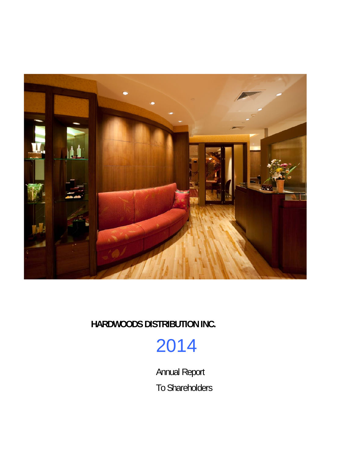

2014

Annual Report To Shareholders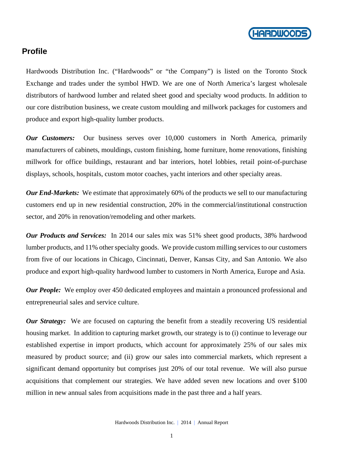

### **Profile**

Hardwoods Distribution Inc. ("Hardwoods" or "the Company") is listed on the Toronto Stock Exchange and trades under the symbol HWD. We are one of North America's largest wholesale distributors of hardwood lumber and related sheet good and specialty wood products. In addition to our core distribution business, we create custom moulding and millwork packages for customers and produce and export high-quality lumber products.

*Our Customers:* Our business serves over 10,000 customers in North America, primarily manufacturers of cabinets, mouldings, custom finishing, home furniture, home renovations, finishing millwork for office buildings, restaurant and bar interiors, hotel lobbies, retail point-of-purchase displays, schools, hospitals, custom motor coaches, yacht interiors and other specialty areas.

*Our End-Markets:* We estimate that approximately 60% of the products we sell to our manufacturing customers end up in new residential construction, 20% in the commercial/institutional construction sector, and 20% in renovation/remodeling and other markets.

*Our Products and Services:* In 2014 our sales mix was 51% sheet good products, 38% hardwood lumber products, and 11% other specialty goods. We provide custom milling services to our customers from five of our locations in Chicago, Cincinnati, Denver, Kansas City, and San Antonio. We also produce and export high-quality hardwood lumber to customers in North America, Europe and Asia.

*Our People:* We employ over 450 dedicated employees and maintain a pronounced professional and entrepreneurial sales and service culture.

*Our Strategy:* We are focused on capturing the benefit from a steadily recovering US residential housing market. In addition to capturing market growth, our strategy is to (i) continue to leverage our established expertise in import products, which account for approximately 25% of our sales mix measured by product source; and (ii) grow our sales into commercial markets, which represent a significant demand opportunity but comprises just 20% of our total revenue. We will also pursue acquisitions that complement our strategies. We have added seven new locations and over \$100 million in new annual sales from acquisitions made in the past three and a half years.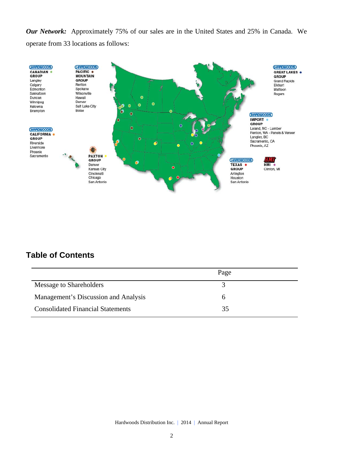*Our Network:* Approximately 75% of our sales are in the United States and 25% in Canada. We operate from 33 locations as follows:



## **Table of Contents**

|                                          | Page |  |
|------------------------------------------|------|--|
| Message to Shareholders                  |      |  |
| Management's Discussion and Analysis     |      |  |
| <b>Consolidated Financial Statements</b> | 35   |  |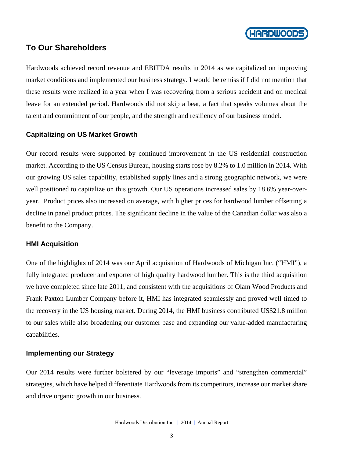

### **To Our Shareholders**

Hardwoods achieved record revenue and EBITDA results in 2014 as we capitalized on improving market conditions and implemented our business strategy. I would be remiss if I did not mention that these results were realized in a year when I was recovering from a serious accident and on medical leave for an extended period. Hardwoods did not skip a beat, a fact that speaks volumes about the talent and commitment of our people, and the strength and resiliency of our business model.

#### **Capitalizing on US Market Growth**

Our record results were supported by continued improvement in the US residential construction market. According to the US Census Bureau, housing starts rose by 8.2% to 1.0 million in 2014. With our growing US sales capability, established supply lines and a strong geographic network, we were well positioned to capitalize on this growth. Our US operations increased sales by 18.6% year-overyear. Product prices also increased on average, with higher prices for hardwood lumber offsetting a decline in panel product prices. The significant decline in the value of the Canadian dollar was also a benefit to the Company.

#### **HMI Acquisition**

One of the highlights of 2014 was our April acquisition of Hardwoods of Michigan Inc. ("HMI"), a fully integrated producer and exporter of high quality hardwood lumber. This is the third acquisition we have completed since late 2011, and consistent with the acquisitions of Olam Wood Products and Frank Paxton Lumber Company before it, HMI has integrated seamlessly and proved well timed to the recovery in the US housing market. During 2014, the HMI business contributed US\$21.8 million to our sales while also broadening our customer base and expanding our value-added manufacturing capabilities.

#### **Implementing our Strategy**

Our 2014 results were further bolstered by our "leverage imports" and "strengthen commercial" strategies, which have helped differentiate Hardwoods from its competitors, increase our market share and drive organic growth in our business.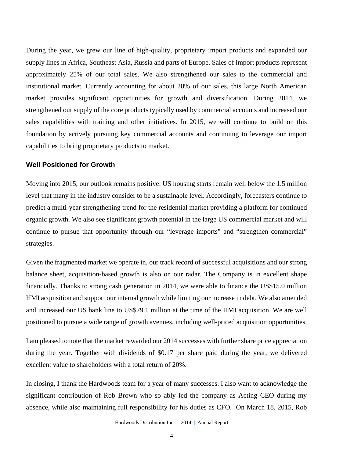During the year, we grew our line of high-quality, proprietary import products and expanded our supply lines in Africa, Southeast Asia, Russia and parts of Europe. Sales of import products represent approximately 25% of our total sales. We also strengthened our sales to the commercial and institutional market. Currently accounting for about 20% of our sales, this large North American market provides significant opportunities for growth and diversification. During 2014, we strengthened our supply of the core products typically used by commercial accounts and increased our sales capabilities with training and other initiatives. In 2015, we will continue to build on this foundation by actively pursuing key commercial accounts and continuing to leverage our import capabilities to bring proprietary products to market.

#### **Well Positioned for Growth**

Moving into 2015, our outlook remains positive. US housing starts remain well below the 1.5 million level that many in the industry consider to be a sustainable level. Accordingly, forecasters continue to predict a multi-year strengthening trend for the residential market providing a platform for continued organic growth. We also see significant growth potential in the large US commercial market and will continue to pursue that opportunity through our "leverage imports" and "strengthen commercial" strategies.

Given the fragmented market we operate in, our track record of successful acquisitions and our strong balance sheet, acquisition-based growth is also on our radar. The Company is in excellent shape financially. Thanks to strong cash generation in 2014, we were able to finance the US\$15.0 million HMI acquisition and support our internal growth while limiting our increase in debt. We also amended and increased our US bank line to US\$79.1 million at the time of the HMI acquisition. We are well positioned to pursue a wide range of growth avenues, including well-priced acquisition opportunities.

I am pleased to note that the market rewarded our 2014 successes with further share price appreciation during the year. Together with dividends of \$0.17 per share paid during the year, we delivered excellent value to shareholders with a total return of 20%.

In closing, I thank the Hardwoods team for a year of many successes. I also want to acknowledge the significant contribution of Rob Brown who so ably led the company as Acting CEO during my absence, while also maintaining full responsibility for his duties as CFO. On March 18, 2015, Rob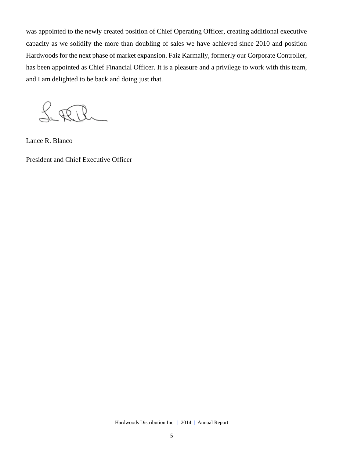was appointed to the newly created position of Chief Operating Officer, creating additional executive capacity as we solidify the more than doubling of sales we have achieved since 2010 and position Hardwoods for the next phase of market expansion. Faiz Karmally, formerly our Corporate Controller, has been appointed as Chief Financial Officer. It is a pleasure and a privilege to work with this team, and I am delighted to be back and doing just that.

 $f_{\ast}$  tere

Lance R. Blanco

President and Chief Executive Officer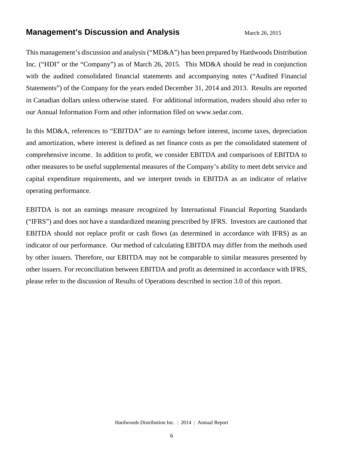### **Management's Discussion and Analysis** March 26, 2015

This management's discussion and analysis ("MD&A") has been prepared by Hardwoods Distribution Inc. ("HDI" or the "Company") as of March 26, 2015. This MD&A should be read in conjunction with the audited consolidated financial statements and accompanying notes ("Audited Financial Statements") of the Company for the years ended December 31, 2014 and 2013. Results are reported in Canadian dollars unless otherwise stated. For additional information, readers should also refer to our Annual Information Form and other information filed on www.sedar.com.

In this MD&A, references to "EBITDA" are to earnings before interest, income taxes, depreciation and amortization, where interest is defined as net finance costs as per the consolidated statement of comprehensive income. In addition to profit, we consider EBITDA and comparisons of EBITDA to other measures to be useful supplemental measures of the Company's ability to meet debt service and capital expenditure requirements, and we interpret trends in EBITDA as an indicator of relative operating performance.

EBITDA is not an earnings measure recognized by International Financial Reporting Standards ("IFRS") and does not have a standardized meaning prescribed by IFRS. Investors are cautioned that EBITDA should not replace profit or cash flows (as determined in accordance with IFRS) as an indicator of our performance. Our method of calculating EBITDA may differ from the methods used by other issuers. Therefore, our EBITDA may not be comparable to similar measures presented by other issuers. For reconciliation between EBITDA and profit as determined in accordance with IFRS, please refer to the discussion of Results of Operations described in section 3.0 of this report.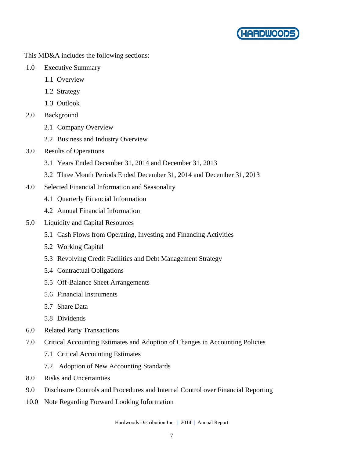

This MD&A includes the following sections:

- 1.0 Executive Summary
	- 1.1 Overview
	- 1.2 Strategy
	- 1.3 Outlook
- 2.0 Background
	- 2.1 Company Overview
	- 2.2 Business and Industry Overview
- 3.0 Results of Operations
	- 3.1 Years Ended December 31, 2014 and December 31, 2013
	- 3.2 Three Month Periods Ended December 31, 2014 and December 31, 2013
- 4.0 Selected Financial Information and Seasonality
	- 4.1 Quarterly Financial Information
	- 4.2 Annual Financial Information
- 5.0 Liquidity and Capital Resources
	- 5.1 Cash Flows from Operating, Investing and Financing Activities
	- 5.2 Working Capital
	- 5.3 Revolving Credit Facilities and Debt Management Strategy
	- 5.4 Contractual Obligations
	- 5.5 Off-Balance Sheet Arrangements
	- 5.6 Financial Instruments
	- 5.7 Share Data
	- 5.8 Dividends
- 6.0 Related Party Transactions
- 7.0 Critical Accounting Estimates and Adoption of Changes in Accounting Policies
	- 7.1 Critical Accounting Estimates
	- 7.2 Adoption of New Accounting Standards
- 8.0 Risks and Uncertainties
- 9.0 Disclosure Controls and Procedures and Internal Control over Financial Reporting
- 10.0 Note Regarding Forward Looking Information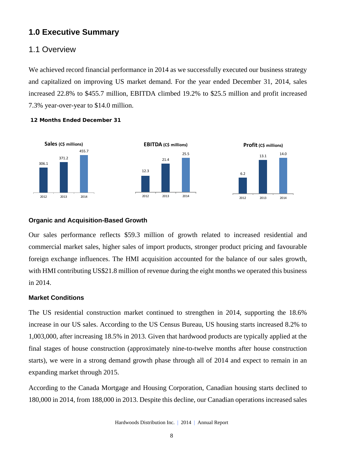### **1.0 Executive Summary**

### 1.1 Overview

We achieved record financial performance in 2014 as we successfully executed our business strategy and capitalized on improving US market demand. For the year ended December 31, 2014, sales increased 22.8% to \$455.7 million, EBITDA climbed 19.2% to \$25.5 million and profit increased 7.3% year-over-year to \$14.0 million.



#### **12 Months Ended December 31**

### **Organic and Acquisition-Based Growth**

Our sales performance reflects \$59.3 million of growth related to increased residential and commercial market sales, higher sales of import products, stronger product pricing and favourable foreign exchange influences. The HMI acquisition accounted for the balance of our sales growth, with HMI contributing US\$21.8 million of revenue during the eight months we operated this business in 2014.

#### **Market Conditions**

The US residential construction market continued to strengthen in 2014, supporting the 18.6% increase in our US sales. According to the US Census Bureau, US housing starts increased 8.2% to 1,003,000, after increasing 18.5% in 2013. Given that hardwood products are typically applied at the final stages of house construction (approximately nine-to-twelve months after house construction starts), we were in a strong demand growth phase through all of 2014 and expect to remain in an expanding market through 2015.

According to the Canada Mortgage and Housing Corporation, Canadian housing starts declined to 180,000 in 2014, from 188,000 in 2013. Despite this decline, our Canadian operations increased sales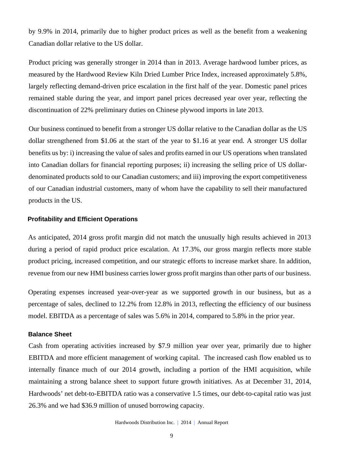by 9.9% in 2014, primarily due to higher product prices as well as the benefit from a weakening Canadian dollar relative to the US dollar.

Product pricing was generally stronger in 2014 than in 2013. Average hardwood lumber prices, as measured by the Hardwood Review Kiln Dried Lumber Price Index, increased approximately 5.8%, largely reflecting demand-driven price escalation in the first half of the year. Domestic panel prices remained stable during the year, and import panel prices decreased year over year, reflecting the discontinuation of 22% preliminary duties on Chinese plywood imports in late 2013.

Our business continued to benefit from a stronger US dollar relative to the Canadian dollar as the US dollar strengthened from \$1.06 at the start of the year to \$1.16 at year end. A stronger US dollar benefits us by: i) increasing the value of sales and profits earned in our US operations when translated into Canadian dollars for financial reporting purposes; ii) increasing the selling price of US dollardenominated products sold to our Canadian customers; and iii) improving the export competitiveness of our Canadian industrial customers, many of whom have the capability to sell their manufactured products in the US.

#### **Profitability and Efficient Operations**

As anticipated, 2014 gross profit margin did not match the unusually high results achieved in 2013 during a period of rapid product price escalation. At 17.3%, our gross margin reflects more stable product pricing, increased competition, and our strategic efforts to increase market share. In addition, revenue from our new HMI business carries lower gross profit margins than other parts of our business.

Operating expenses increased year-over-year as we supported growth in our business, but as a percentage of sales, declined to 12.2% from 12.8% in 2013, reflecting the efficiency of our business model. EBITDA as a percentage of sales was 5.6% in 2014, compared to 5.8% in the prior year.

#### **Balance Sheet**

Cash from operating activities increased by \$7.9 million year over year, primarily due to higher EBITDA and more efficient management of working capital. The increased cash flow enabled us to internally finance much of our 2014 growth, including a portion of the HMI acquisition, while maintaining a strong balance sheet to support future growth initiatives. As at December 31, 2014, Hardwoods' net debt-to-EBITDA ratio was a conservative 1.5 times, our debt-to-capital ratio was just 26.3% and we had \$36.9 million of unused borrowing capacity.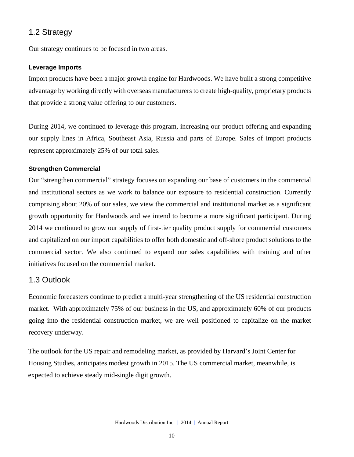### 1.2 Strategy

Our strategy continues to be focused in two areas.

### **Leverage Imports**

Import products have been a major growth engine for Hardwoods. We have built a strong competitive advantage by working directly with overseas manufacturers to create high-quality, proprietary products that provide a strong value offering to our customers.

During 2014, we continued to leverage this program, increasing our product offering and expanding our supply lines in Africa, Southeast Asia, Russia and parts of Europe. Sales of import products represent approximately 25% of our total sales.

### **Strengthen Commercial**

Our "strengthen commercial" strategy focuses on expanding our base of customers in the commercial and institutional sectors as we work to balance our exposure to residential construction. Currently comprising about 20% of our sales, we view the commercial and institutional market as a significant growth opportunity for Hardwoods and we intend to become a more significant participant. During 2014 we continued to grow our supply of first-tier quality product supply for commercial customers and capitalized on our import capabilities to offer both domestic and off-shore product solutions to the commercial sector. We also continued to expand our sales capabilities with training and other initiatives focused on the commercial market.

### 1.3 Outlook

Economic forecasters continue to predict a multi-year strengthening of the US residential construction market. With approximately 75% of our business in the US, and approximately 60% of our products going into the residential construction market, we are well positioned to capitalize on the market recovery underway.

The outlook for the US repair and remodeling market, as provided by Harvard's Joint Center for Housing Studies, anticipates modest growth in 2015. The US commercial market, meanwhile, is expected to achieve steady mid-single digit growth.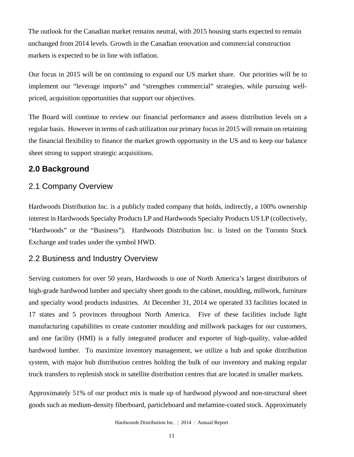The outlook for the Canadian market remains neutral, with 2015 housing starts expected to remain unchanged from 2014 levels. Growth in the Canadian renovation and commercial construction markets is expected to be in line with inflation.

Our focus in 2015 will be on continuing to expand our US market share. Our priorities will be to implement our "leverage imports" and "strengthen commercial" strategies, while pursuing wellpriced, acquisition opportunities that support our objectives.

The Board will continue to review our financial performance and assess distribution levels on a regular basis. However in terms of cash utilization our primary focus in 2015 will remain on retaining the financial flexibility to finance the market growth opportunity in the US and to keep our balance sheet strong to support strategic acquisitions.

### **2.0 Background**

### 2.1 Company Overview

Hardwoods Distribution Inc. is a publicly traded company that holds, indirectly, a 100% ownership interest in Hardwoods Specialty Products LP and Hardwoods Specialty Products US LP (collectively, "Hardwoods" or the "Business"). Hardwoods Distribution Inc. is listed on the Toronto Stock Exchange and trades under the symbol HWD.

### 2.2 Business and Industry Overview

Serving customers for over 50 years, Hardwoods is one of North America's largest distributors of high-grade hardwood lumber and specialty sheet goods to the cabinet, moulding, millwork, furniture and specialty wood products industries. At December 31, 2014 we operated 33 facilities located in 17 states and 5 provinces throughout North America. Five of these facilities include light manufacturing capabilities to create customer moulding and millwork packages for our customers, and one facility (HMI) is a fully integrated producer and exporter of high-quality, value-added hardwood lumber. To maximize inventory management, we utilize a hub and spoke distribution system, with major hub distribution centres holding the bulk of our inventory and making regular truck transfers to replenish stock in satellite distribution centres that are located in smaller markets.

Approximately 51% of our product mix is made up of hardwood plywood and non-structural sheet goods such as medium-density fiberboard, particleboard and melamine-coated stock. Approximately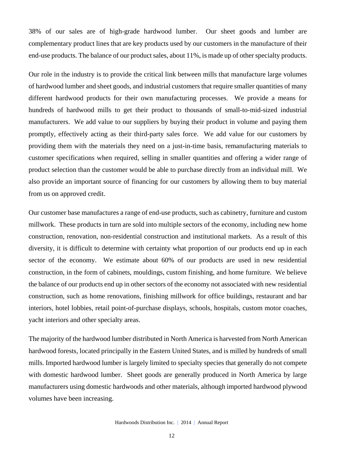38% of our sales are of high-grade hardwood lumber. Our sheet goods and lumber are complementary product lines that are key products used by our customers in the manufacture of their end-use products. The balance of our product sales, about 11%, is made up of other specialty products.

Our role in the industry is to provide the critical link between mills that manufacture large volumes of hardwood lumber and sheet goods, and industrial customers that require smaller quantities of many different hardwood products for their own manufacturing processes. We provide a means for hundreds of hardwood mills to get their product to thousands of small-to-mid-sized industrial manufacturers. We add value to our suppliers by buying their product in volume and paying them promptly, effectively acting as their third-party sales force. We add value for our customers by providing them with the materials they need on a just-in-time basis, remanufacturing materials to customer specifications when required, selling in smaller quantities and offering a wider range of product selection than the customer would be able to purchase directly from an individual mill. We also provide an important source of financing for our customers by allowing them to buy material from us on approved credit.

Our customer base manufactures a range of end-use products, such as cabinetry, furniture and custom millwork. These products in turn are sold into multiple sectors of the economy, including new home construction, renovation, non-residential construction and institutional markets. As a result of this diversity, it is difficult to determine with certainty what proportion of our products end up in each sector of the economy. We estimate about 60% of our products are used in new residential construction, in the form of cabinets, mouldings, custom finishing, and home furniture. We believe the balance of our products end up in other sectors of the economy not associated with new residential construction, such as home renovations, finishing millwork for office buildings, restaurant and bar interiors, hotel lobbies, retail point-of-purchase displays, schools, hospitals, custom motor coaches, yacht interiors and other specialty areas.

The majority of the hardwood lumber distributed in North America is harvested from North American hardwood forests, located principally in the Eastern United States, and is milled by hundreds of small mills. Imported hardwood lumber is largely limited to specialty species that generally do not compete with domestic hardwood lumber. Sheet goods are generally produced in North America by large manufacturers using domestic hardwoods and other materials, although imported hardwood plywood volumes have been increasing.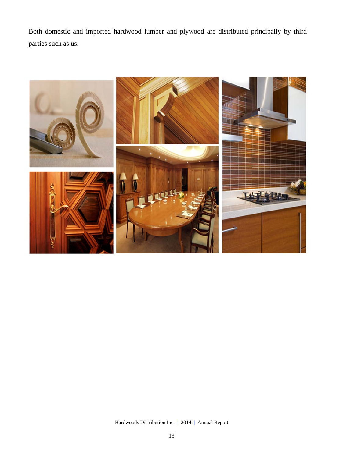Both domestic and imported hardwood lumber and plywood are distributed principally by third parties such as us.

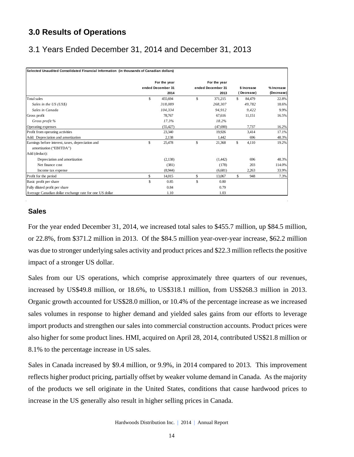## **3.0 Results of Operations**

## 3.1 Years Ended December 31, 2014 and December 31, 2013

| Selected Unaudited Consolidated Financial Information (in thousands of Canadian dollars) |     |                                   |               |                                   |     |             |            |
|------------------------------------------------------------------------------------------|-----|-----------------------------------|---------------|-----------------------------------|-----|-------------|------------|
|                                                                                          |     | For the year<br>ended December 31 |               | For the year<br>ended December 31 |     | \$ Increase | % Increase |
|                                                                                          |     | 2014                              |               | 2013                              |     | (Decrease)  | (Decrease) |
| Total sales                                                                              | \$  | 455,694                           | \$            | 371,215                           | \$. | 84,479      | 22.8%      |
| Sales in the US (US\$)                                                                   |     | 318,089                           |               | 268,307                           |     | 49.782      | 18.6%      |
| Sales in Canada                                                                          |     | 104,334                           |               | 94,912                            |     | 9,422       | 9.9%       |
| Gross profit                                                                             |     | 78,767                            |               | 67.616                            |     | 11.151      | 16.5%      |
| Gross profit %                                                                           |     | 17.3%                             |               | 18.2%                             |     |             |            |
| Operating expenses                                                                       |     | (55, 427)                         |               | (47,690)                          |     | 7,737       | 16.2%      |
| Profit from operating activities                                                         |     | 23,340                            |               | 19.926                            |     | 3.414       | 17.1%      |
| Add: Depreciation and amortization                                                       |     | 2,138                             |               | 1.442                             |     | 696         | 48.3%      |
| Earnings before interest, taxes, depreciation and<br>amortization ("EBITDA")             | \$  | 25,478                            | S             | 21,368                            | \$  | 4,110       | 19.2%      |
| Add (deduct):                                                                            |     |                                   |               |                                   |     |             |            |
| Depreciation and amortization                                                            |     | (2,138)                           |               | (1,442)                           |     | 696         | 48.3%      |
| Net finance cost                                                                         |     | (381)                             |               | (178)                             |     | 203         | 114.0%     |
| Income tax expense                                                                       |     | (8,944)                           |               | (6,681)                           |     | 2,263       | 33.9%      |
| Profit for the period                                                                    | \$. | 14,015                            | S             | 13,067                            | \$  | 948         | 7.3%       |
| Basic profit per share                                                                   | \$  | 0.85                              | $\mathcal{S}$ | 0.80                              |     |             |            |
| Fully diluted profit per share                                                           |     | 0.84                              |               | 0.79                              |     |             |            |
| Average Canadian dollar exchange rate for one US dollar                                  |     | 1.10                              |               | 1.03                              |     |             |            |

### **Sales**

For the year ended December 31, 2014, we increased total sales to \$455.7 million, up \$84.5 million, or 22.8%, from \$371.2 million in 2013. Of the \$84.5 million year-over-year increase, \$62.2 million was due to stronger underlying sales activity and product prices and \$22.3 million reflects the positive impact of a stronger US dollar.

Sales from our US operations, which comprise approximately three quarters of our revenues, increased by US\$49.8 million, or 18.6%, to US\$318.1 million, from US\$268.3 million in 2013. Organic growth accounted for US\$28.0 million, or 10.4% of the percentage increase as we increased sales volumes in response to higher demand and yielded sales gains from our efforts to leverage import products and strengthen our sales into commercial construction accounts. Product prices were also higher for some product lines. HMI, acquired on April 28, 2014, contributed US\$21.8 million or 8.1% to the percentage increase in US sales.

Sales in Canada increased by \$9.4 million, or 9.9%, in 2014 compared to 2013. This improvement reflects higher product pricing, partially offset by weaker volume demand in Canada. As the majority of the products we sell originate in the United States, conditions that cause hardwood prices to increase in the US generally also result in higher selling prices in Canada.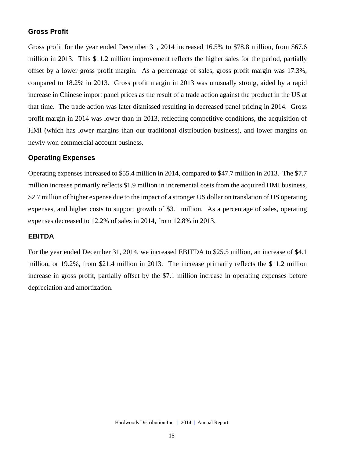### **Gross Profit**

Gross profit for the year ended December 31, 2014 increased 16.5% to \$78.8 million, from \$67.6 million in 2013. This \$11.2 million improvement reflects the higher sales for the period, partially offset by a lower gross profit margin. As a percentage of sales, gross profit margin was 17.3%, compared to 18.2% in 2013. Gross profit margin in 2013 was unusually strong, aided by a rapid increase in Chinese import panel prices as the result of a trade action against the product in the US at that time. The trade action was later dismissed resulting in decreased panel pricing in 2014. Gross profit margin in 2014 was lower than in 2013, reflecting competitive conditions, the acquisition of HMI (which has lower margins than our traditional distribution business), and lower margins on newly won commercial account business.

#### **Operating Expenses**

Operating expenses increased to \$55.4 million in 2014, compared to \$47.7 million in 2013. The \$7.7 million increase primarily reflects \$1.9 million in incremental costs from the acquired HMI business, \$2.7 million of higher expense due to the impact of a stronger US dollar on translation of US operating expenses, and higher costs to support growth of \$3.1 million. As a percentage of sales, operating expenses decreased to 12.2% of sales in 2014, from 12.8% in 2013.

#### **EBITDA**

For the year ended December 31, 2014, we increased EBITDA to \$25.5 million, an increase of \$4.1 million, or 19.2%, from \$21.4 million in 2013. The increase primarily reflects the \$11.2 million increase in gross profit, partially offset by the \$7.1 million increase in operating expenses before depreciation and amortization.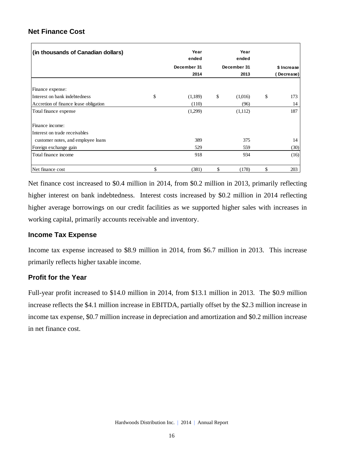### **Net Finance Cost**

| (in thousands of Canadian dollars)    | Year<br>ended | Year<br>ended |             |
|---------------------------------------|---------------|---------------|-------------|
|                                       | December 31   | December 31   | \$ Increase |
|                                       | 2014          | 2013          | Decrease)   |
| Finance expense:                      |               |               |             |
| Interest on bank indebtedness         | \$<br>(1,189) | \$<br>(1,016) | \$<br>173   |
| Accretion of finance lease obligation | (110)         | (96)          | 14          |
| Total finance expense                 | (1,299)       | (1,112)       | 187         |
| Finance income:                       |               |               |             |
| Interest on trade receivables         |               |               |             |
| customer notes, and employee loans    | 389           | 375           | 14          |
| Foreign exchange gain                 | 529           | 559           | (30)        |
| Total finance income                  | 918           | 934           | (16)        |
| Net finance cost                      | \$<br>(381)   | \$<br>(178)   | \$<br>203   |

Net finance cost increased to \$0.4 million in 2014, from \$0.2 million in 2013, primarily reflecting higher interest on bank indebtedness. Interest costs increased by \$0.2 million in 2014 reflecting higher average borrowings on our credit facilities as we supported higher sales with increases in working capital, primarily accounts receivable and inventory.

### **Income Tax Expense**

Income tax expense increased to \$8.9 million in 2014, from \$6.7 million in 2013. This increase primarily reflects higher taxable income.

### **Profit for the Year**

Full-year profit increased to \$14.0 million in 2014, from \$13.1 million in 2013. The \$0.9 million increase reflects the \$4.1 million increase in EBITDA, partially offset by the \$2.3 million increase in income tax expense, \$0.7 million increase in depreciation and amortization and \$0.2 million increase in net finance cost.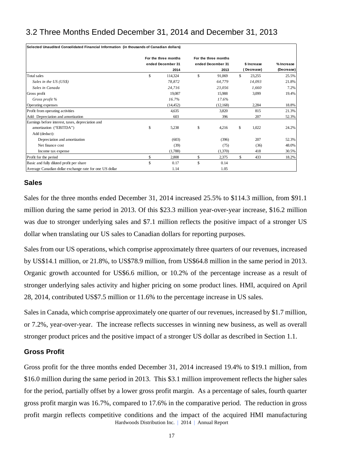## 3.2 Three Months Ended December 31, 2014 and December 31, 2013

| Selected Unaudited Consolidated Financial Information (in thousands of Canadian dollars) |                                                   |                                                   |    |                          |                          |
|------------------------------------------------------------------------------------------|---------------------------------------------------|---------------------------------------------------|----|--------------------------|--------------------------|
|                                                                                          | For the three months<br>ended December 31<br>2014 | For the three months<br>ended December 31<br>2013 |    | \$ Increase<br>Decrease) | % Increase<br>(Decrease) |
| Total sales                                                                              | \$<br>114,324                                     | \$<br>91,069                                      | \$ | 23,255                   | 25.5%                    |
| Sales in the US (US\$)                                                                   | 78,872                                            | 64,779                                            |    | 14,093                   | 21.8%                    |
| Sales in Canada                                                                          | 24,716                                            | 23,056                                            |    | 1.660                    | 7.2%                     |
| Gross profit                                                                             | 19,087                                            | 15,988                                            |    | 3,099                    | 19.4%                    |
| Gross profit %                                                                           | 16.7%                                             | 17.6%                                             |    |                          |                          |
| Operating expenses                                                                       | (14, 452)                                         | (12, 168)                                         |    | 2,284                    | 18.8%                    |
| Profit from operating activities                                                         | 4,635                                             | 3,820                                             |    | 815                      | 21.3%                    |
| Add: Depreciation and amortization                                                       | 603                                               | 396                                               |    | 207                      | 52.3%                    |
| Earnings before interest, taxes, depreciation and                                        |                                                   |                                                   |    |                          |                          |
| amortization ("EBITDA")                                                                  | \$<br>5,238                                       | \$<br>4,216                                       | \$ | 1,022                    | 24.2%                    |
| Add (deduct):                                                                            |                                                   |                                                   |    |                          |                          |
| Depreciation and amortization                                                            | (603)                                             | (396)                                             |    | 207                      | 52.3%                    |
| Net finance cost                                                                         | (39)                                              | (75)                                              |    | (36)                     | 48.0%                    |
| Income tax expense                                                                       | (1,788)                                           | (1,370)                                           |    | 418                      | 30.5%                    |
| Profit for the period                                                                    | \$<br>2,808                                       | \$<br>2,375                                       | \$ | 433                      | 18.2%                    |
| Basic and fully diluted profit per share                                                 | \$<br>0.17                                        | \$<br>0.14                                        |    |                          |                          |
| Average Canadian dollar exchange rate for one US dollar                                  | 1.14                                              | 1.05                                              |    |                          |                          |

### **Sales**

Sales for the three months ended December 31, 2014 increased 25.5% to \$114.3 million, from \$91.1 million during the same period in 2013. Of this \$23.3 million year-over-year increase, \$16.2 million was due to stronger underlying sales and \$7.1 million reflects the positive impact of a stronger US dollar when translating our US sales to Canadian dollars for reporting purposes.

Sales from our US operations, which comprise approximately three quarters of our revenues, increased by US\$14.1 million, or 21.8%, to US\$78.9 million, from US\$64.8 million in the same period in 2013. Organic growth accounted for US\$6.6 million, or 10.2% of the percentage increase as a result of stronger underlying sales activity and higher pricing on some product lines. HMI, acquired on April 28, 2014, contributed US\$7.5 million or 11.6% to the percentage increase in US sales.

Sales in Canada, which comprise approximately one quarter of our revenues, increased by \$1.7 million, or 7.2%, year-over-year. The increase reflects successes in winning new business, as well as overall stronger product prices and the positive impact of a stronger US dollar as described in Section 1.1.

#### **Gross Profit**

Hardwoods Distribution Inc. | 2014 | Annual Report Gross profit for the three months ended December 31, 2014 increased 19.4% to \$19.1 million, from \$16.0 million during the same period in 2013. This \$3.1 million improvement reflects the higher sales for the period, partially offset by a lower gross profit margin. As a percentage of sales, fourth quarter gross profit margin was 16.7%, compared to 17.6% in the comparative period. The reduction in gross profit margin reflects competitive conditions and the impact of the acquired HMI manufacturing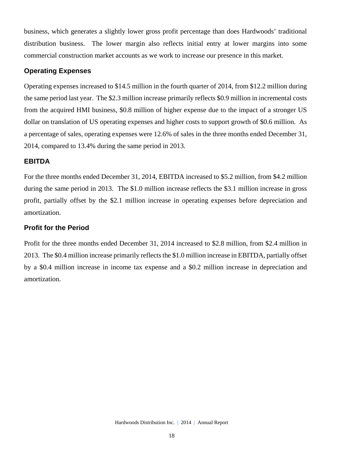business, which generates a slightly lower gross profit percentage than does Hardwoods' traditional distribution business. The lower margin also reflects initial entry at lower margins into some commercial construction market accounts as we work to increase our presence in this market.

### **Operating Expenses**

Operating expenses increased to \$14.5 million in the fourth quarter of 2014, from \$12.2 million during the same period last year. The \$2.3 million increase primarily reflects \$0.9 million in incremental costs from the acquired HMI business, \$0.8 million of higher expense due to the impact of a stronger US dollar on translation of US operating expenses and higher costs to support growth of \$0.6 million. As a percentage of sales, operating expenses were 12.6% of sales in the three months ended December 31, 2014, compared to 13.4% during the same period in 2013.

#### **EBITDA**

For the three months ended December 31, 2014, EBITDA increased to \$5.2 million, from \$4.2 million during the same period in 2013. The \$1.0 million increase reflects the \$3.1 million increase in gross profit, partially offset by the \$2.1 million increase in operating expenses before depreciation and amortization.

#### **Profit for the Period**

Profit for the three months ended December 31, 2014 increased to \$2.8 million, from \$2.4 million in 2013. The \$0.4 million increase primarily reflects the \$1.0 million increase in EBITDA, partially offset by a \$0.4 million increase in income tax expense and a \$0.2 million increase in depreciation and amortization.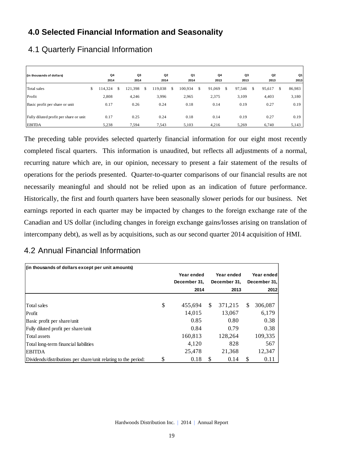## **4.0 Selected Financial Information and Seasonality**

| (in thousands of dollars)              | Q <sub>4</sub><br>2014 | Q3<br>2014 |   | Q2<br>2014 |   | Q1<br>2014 | Q4<br>2013   |    | Q3<br>2013 | Q <sub>2</sub><br>2013 | Q1<br>2013   |
|----------------------------------------|------------------------|------------|---|------------|---|------------|--------------|----|------------|------------------------|--------------|
| Total sales                            | \$<br>114,324          | 121,398    | S | 119,038    | S | 100,934    | \$<br>91,069 | S. | 97,546     | \$<br>95,617           | \$<br>86,983 |
| Profit                                 | 2,808                  | 4,246      |   | 3,996      |   | 2,965      | 2,375        |    | 3,109      | 4,403                  | 3,180        |
| Basic profit per share or unit         | 0.17                   | 0.26       |   | 0.24       |   | 0.18       | 0.14         |    | 0.19       | 0.27                   | 0.19         |
| Fully diluted profit per share or unit | 0.17                   | 0.25       |   | 0.24       |   | 0.18       | 0.14         |    | 0.19       | 0.27                   | 0.19         |
| <b>EBITDA</b>                          | 5,238                  | 7,594      |   | 7,543      |   | 5,103      | 4,216        |    | 5,269      | 6,740                  | 5,143        |

## 4.1 Quarterly Financial Information

The preceding table provides selected quarterly financial information for our eight most recently completed fiscal quarters. This information is unaudited, but reflects all adjustments of a normal, recurring nature which are, in our opinion, necessary to present a fair statement of the results of operations for the periods presented. Quarter-to-quarter comparisons of our financial results are not necessarily meaningful and should not be relied upon as an indication of future performance. Historically, the first and fourth quarters have been seasonally slower periods for our business. Net earnings reported in each quarter may be impacted by changes to the foreign exchange rate of the Canadian and US dollar (including changes in foreign exchange gains/losses arising on translation of intercompany debt), as well as by acquisitions, such as our second quarter 2014 acquisition of HMI.

### 4.2 Annual Financial Information

| (in thousands of dollars except per unit amounts)              |    |              |     |              |     |              |
|----------------------------------------------------------------|----|--------------|-----|--------------|-----|--------------|
|                                                                |    | Year ended   |     | Year ended   |     | Year ended   |
|                                                                |    | December 31. |     | December 31, |     | December 31, |
|                                                                |    | 2014         |     | 2013         |     | 2012         |
|                                                                |    |              |     |              |     |              |
| Total sales                                                    | \$ | 455,694      | \$. | 371,215      | \$. | 306,087      |
| Profit                                                         |    | 14,015       |     | 13,067       |     | 6,179        |
| Basic profit per share/unit                                    |    | 0.85         |     | 0.80         |     | 0.38         |
| Fully diluted profit per share/unit                            |    | 0.84         |     | 0.79         |     | 0.38         |
| Total assets                                                   |    | 160,813      |     | 128,264      |     | 109,335      |
| Total long-term financial liabilities                          |    | 4.120        |     | 828          |     | 567          |
| <b>EBITDA</b>                                                  |    | 25,478       |     | 21,368       |     | 12,347       |
| Dividends/distributions per share/unit relating to the period: | S  | 0.18         | -S  | 0.14         | -S  | 0.11         |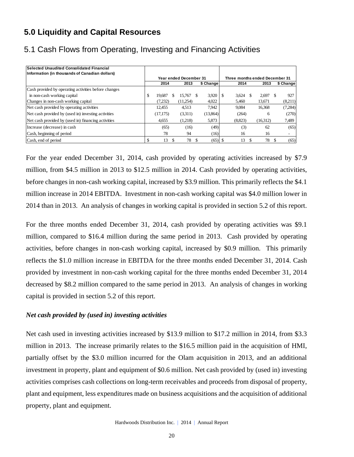## **5.0 Liquidity and Capital Resources**

| Selected Unaudited Consolidated Financial            |              |                               |     |           |                                |   |              |           |
|------------------------------------------------------|--------------|-------------------------------|-----|-----------|--------------------------------|---|--------------|-----------|
| Information (in thousands of Canadian dollars)       |              |                               |     |           |                                |   |              |           |
|                                                      |              | <b>Year ended December 31</b> |     |           | Three months ended December 31 |   |              |           |
|                                                      | 2014         | 2013                          |     | \$ Change | 2014                           |   | 2013         | \$ Change |
| Cash provided by operating activities before changes |              |                               |     |           |                                |   |              |           |
| in non-cash working capital                          | \$<br>19.687 | 15.767                        | S   | 3,920     | 3,624                          |   | 2,697        | 927       |
| Changes in non-cash working capital                  | (7.232)      | (11,254)                      |     | 4,022     | 5,460                          |   | 13,671       | (8,211)   |
| Net cash provided by operating activities            | 12.455       | 4,513                         |     | 7.942     | 9,084                          |   | 16,368       | (7, 284)  |
| Net cash provided by (used in) investing activities  | (17, 175)    | (3,311)                       |     | (13,864)  | (264)                          |   | <sub>6</sub> | (270)     |
| Net cash provided by (used in) financing activities  | 4,655        | (1,218)                       |     | 5,873     | (8,823)                        |   | (16,312)     | 7,489     |
| Increase (decrease) in cash                          | (65)         | (16)                          |     | (49)      | (3)                            |   | 62           | (65)      |
| Cash, beginning of period                            | 78           | 94                            |     | (16)      | 16                             |   | 16           |           |
| Cash, end of period                                  | 13           | 78                            | \$. | (65)      | 13                             | S | 78           | (65)      |

## 5.1 Cash Flows from Operating, Investing and Financing Activities

For the year ended December 31, 2014, cash provided by operating activities increased by \$7.9 million, from \$4.5 million in 2013 to \$12.5 million in 2014. Cash provided by operating activities, before changes in non-cash working capital, increased by \$3.9 million. This primarily reflects the \$4.1 million increase in 2014 EBITDA. Investment in non-cash working capital was \$4.0 million lower in 2014 than in 2013. An analysis of changes in working capital is provided in section 5.2 of this report.

For the three months ended December 31, 2014, cash provided by operating activities was \$9.1 million, compared to \$16.4 million during the same period in 2013. Cash provided by operating activities, before changes in non-cash working capital, increased by \$0.9 million. This primarily reflects the \$1.0 million increase in EBITDA for the three months ended December 31, 2014. Cash provided by investment in non-cash working capital for the three months ended December 31, 2014 decreased by \$8.2 million compared to the same period in 2013. An analysis of changes in working capital is provided in section 5.2 of this report.

#### *Net cash provided by (used in) investing activities*

Net cash used in investing activities increased by \$13.9 million to \$17.2 million in 2014, from \$3.3 million in 2013. The increase primarily relates to the \$16.5 million paid in the acquisition of HMI, partially offset by the \$3.0 million incurred for the Olam acquisition in 2013, and an additional investment in property, plant and equipment of \$0.6 million. Net cash provided by (used in) investing activities comprises cash collections on long-term receivables and proceeds from disposal of property, plant and equipment, less expenditures made on business acquisitions and the acquisition of additional property, plant and equipment.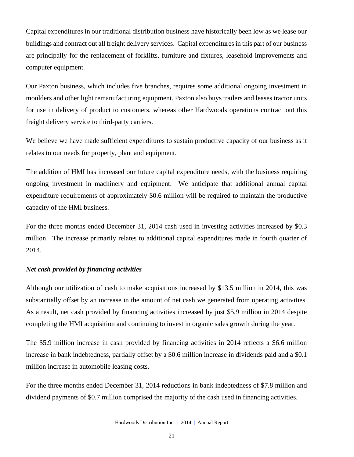Capital expenditures in our traditional distribution business have historically been low as we lease our buildings and contract out all freight delivery services. Capital expenditures in this part of our business are principally for the replacement of forklifts, furniture and fixtures, leasehold improvements and computer equipment.

Our Paxton business, which includes five branches, requires some additional ongoing investment in moulders and other light remanufacturing equipment. Paxton also buys trailers and leases tractor units for use in delivery of product to customers, whereas other Hardwoods operations contract out this freight delivery service to third-party carriers.

We believe we have made sufficient expenditures to sustain productive capacity of our business as it relates to our needs for property, plant and equipment.

The addition of HMI has increased our future capital expenditure needs, with the business requiring ongoing investment in machinery and equipment. We anticipate that additional annual capital expenditure requirements of approximately \$0.6 million will be required to maintain the productive capacity of the HMI business.

For the three months ended December 31, 2014 cash used in investing activities increased by \$0.3 million. The increase primarily relates to additional capital expenditures made in fourth quarter of 2014.

#### *Net cash provided by financing activities*

Although our utilization of cash to make acquisitions increased by \$13.5 million in 2014, this was substantially offset by an increase in the amount of net cash we generated from operating activities. As a result, net cash provided by financing activities increased by just \$5.9 million in 2014 despite completing the HMI acquisition and continuing to invest in organic sales growth during the year.

The \$5.9 million increase in cash provided by financing activities in 2014 reflects a \$6.6 million increase in bank indebtedness, partially offset by a \$0.6 million increase in dividends paid and a \$0.1 million increase in automobile leasing costs.

For the three months ended December 31, 2014 reductions in bank indebtedness of \$7.8 million and dividend payments of \$0.7 million comprised the majority of the cash used in financing activities.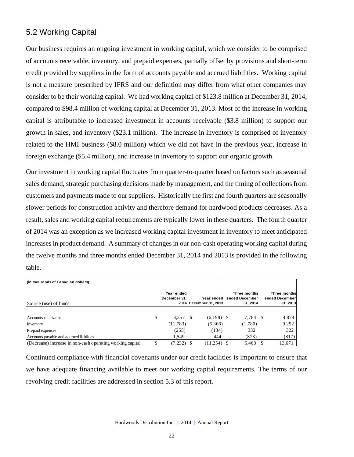### 5.2 Working Capital

Our business requires an ongoing investment in working capital, which we consider to be comprised of accounts receivable, inventory, and prepaid expenses, partially offset by provisions and short-term credit provided by suppliers in the form of accounts payable and accrued liabilities. Working capital is not a measure prescribed by IFRS and our definition may differ from what other companies may consider to be their working capital. We had working capital of \$123.8 million at December 31, 2014, compared to \$98.4 million of working capital at December 31, 2013. Most of the increase in working capital is attributable to increased investment in accounts receivable (\$3.8 million) to support our growth in sales, and inventory (\$23.1 million). The increase in inventory is comprised of inventory related to the HMI business (\$8.0 million) which we did not have in the previous year, increase in foreign exchange (\$5.4 million), and increase in inventory to support our organic growth.

Our investment in working capital fluctuates from quarter-to-quarter based on factors such as seasonal sales demand, strategic purchasing decisions made by management, and the timing of collections from customers and payments made to our suppliers. Historically the first and fourth quarters are seasonally slower periods for construction activity and therefore demand for hardwood products decreases. As a result, sales and working capital requirements are typically lower in these quarters. The fourth quarter of 2014 was an exception as we increased working capital investment in inventory to meet anticipated increases in product demand. A summary of changes in our non-cash operating working capital during the twelve months and three months ended December 31, 2014 and 2013 is provided in the following table.

| (in thousands of Canadian dollars)                        |                            |    |                                       |                                            |                                            |
|-----------------------------------------------------------|----------------------------|----|---------------------------------------|--------------------------------------------|--------------------------------------------|
| Source (use) of funds                                     | Year ended<br>December 31. |    | Year ended!<br>2014 December 31, 2013 | Three months<br>ended December<br>31, 2014 | Three months<br>ended December<br>31, 2013 |
|                                                           |                            |    |                                       |                                            |                                            |
| Accounts receivable                                       | \$<br>3,257                | -8 | (6,198)                               | 7,784 \$                                   | 4,874                                      |
| Inventory                                                 | (11,783)                   |    | (5,366)                               | (1,780)                                    | 9,292                                      |
| Prepaid expenses                                          | (255)                      |    | (134)                                 | 332                                        | 322                                        |
| Accounts payable and accrued liabilities                  | 1.549                      |    | 444                                   | (873)                                      | (817)                                      |
| (Decrease) increase in non-cash operating working capital | (7,232)                    |    |                                       | 5,463                                      | 13,671                                     |

Continued compliance with financial covenants under our credit facilities is important to ensure that we have adequate financing available to meet our working capital requirements. The terms of our revolving credit facilities are addressed in section 5.3 of this report.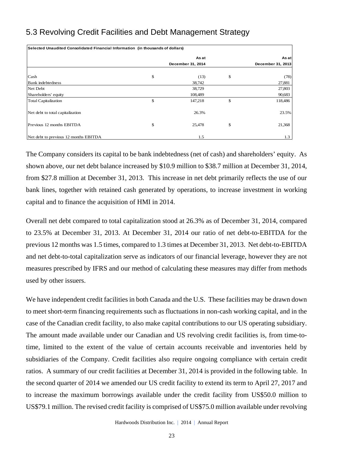## 5.3 Revolving Credit Facilities and Debt Management Strategy

| Selected Unaudited Consolidated Financial Information (in thousands of dollars) |                   |                   |
|---------------------------------------------------------------------------------|-------------------|-------------------|
|                                                                                 | As at             | As atl            |
|                                                                                 | December 31, 2014 | December 31, 2013 |
| Cash                                                                            | \$<br>(13)        | \$<br>(78)        |
| <b>Bank</b> indebtedness                                                        | 38,742            | 27,881            |
| Net Debt                                                                        | 38,729            | 27,803            |
| Shareholders' equity                                                            | 108,489           | 90,683            |
| <b>Total Capitalization</b>                                                     | \$<br>147,218     | \$<br>118,486     |
| Net debt to total capitalization                                                | 26.3%             | 23.5%             |
| Previous 12 months EBITDA                                                       | \$<br>25,478      | \$<br>21,368      |
| Net debt to previous 12 months EBITDA                                           | 1.5               | 1.3               |

The Company considers its capital to be bank indebtedness (net of cash) and shareholders' equity. As shown above, our net debt balance increased by \$10.9 million to \$38.7 million at December 31, 2014, from \$27.8 million at December 31, 2013. This increase in net debt primarily reflects the use of our bank lines, together with retained cash generated by operations, to increase investment in working capital and to finance the acquisition of HMI in 2014.

Overall net debt compared to total capitalization stood at 26.3% as of December 31, 2014, compared to 23.5% at December 31, 2013. At December 31, 2014 our ratio of net debt-to-EBITDA for the previous 12 months was 1.5 times, compared to 1.3 times at December 31, 2013. Net debt-to-EBITDA and net debt-to-total capitalization serve as indicators of our financial leverage, however they are not measures prescribed by IFRS and our method of calculating these measures may differ from methods used by other issuers.

We have independent credit facilities in both Canada and the U.S. These facilities may be drawn down to meet short-term financing requirements such as fluctuations in non-cash working capital, and in the case of the Canadian credit facility, to also make capital contributions to our US operating subsidiary. The amount made available under our Canadian and US revolving credit facilities is, from time-totime, limited to the extent of the value of certain accounts receivable and inventories held by subsidiaries of the Company. Credit facilities also require ongoing compliance with certain credit ratios. A summary of our credit facilities at December 31, 2014 is provided in the following table. In the second quarter of 2014 we amended our US credit facility to extend its term to April 27, 2017 and to increase the maximum borrowings available under the credit facility from US\$50.0 million to US\$79.1 million. The revised credit facility is comprised of US\$75.0 million available under revolving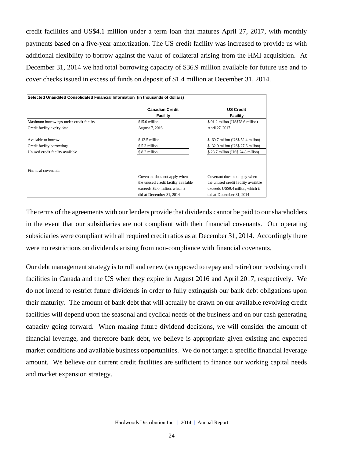credit facilities and US\$4.1 million under a term loan that matures April 27, 2017, with monthly payments based on a five-year amortization. The US credit facility was increased to provide us with additional flexibility to borrow against the value of collateral arising from the HMI acquisition. At December 31, 2014 we had total borrowing capacity of \$36.9 million available for future use and to cover checks issued in excess of funds on deposit of \$1.4 million at December 31, 2014.

| Selected Unaudited Consolidated Financial Information (in thousands of dollars) |                                      |                                      |
|---------------------------------------------------------------------------------|--------------------------------------|--------------------------------------|
|                                                                                 | <b>Canadian Credit</b><br>Facility   | <b>US Credit</b><br><b>Facility</b>  |
| Maximum borrowings under credit facility                                        | $$15.0$ million                      | \$91.2 million (US\$78.6 million)    |
| Credit facility expiry date                                                     | August 7, 2016                       | April 27, 2017                       |
| Available to borrow                                                             | $$13.5$ million                      | \$ 60.7 million (US\$ 52.4 million)  |
| Credit facility borrowings                                                      | \$5.3 million                        | \$32.0 million (US\$ 27.6 million)   |
| Unused credit facility available                                                | \$8.2 million                        | \$28.7 million (US\$24.8 million)    |
| Financial covenants:                                                            |                                      |                                      |
|                                                                                 | Covenant does not apply when         | Covenant does not apply when         |
|                                                                                 | the unused credit facility available | the unused credit facility available |
|                                                                                 | exceeds \$2.0 million, which it      | exceeds US\$9.4 million, which it    |
|                                                                                 | did at December 31, 2014             | did at December 31, 2014             |

The terms of the agreements with our lenders provide that dividends cannot be paid to our shareholders in the event that our subsidiaries are not compliant with their financial covenants. Our operating subsidiaries were compliant with all required credit ratios as at December 31, 2014. Accordingly there were no restrictions on dividends arising from non-compliance with financial covenants.

Our debt management strategy is to roll and renew (as opposed to repay and retire) our revolving credit facilities in Canada and the US when they expire in August 2016 and April 2017, respectively. We do not intend to restrict future dividends in order to fully extinguish our bank debt obligations upon their maturity. The amount of bank debt that will actually be drawn on our available revolving credit facilities will depend upon the seasonal and cyclical needs of the business and on our cash generating capacity going forward. When making future dividend decisions, we will consider the amount of financial leverage, and therefore bank debt, we believe is appropriate given existing and expected market conditions and available business opportunities. We do not target a specific financial leverage amount. We believe our current credit facilities are sufficient to finance our working capital needs and market expansion strategy.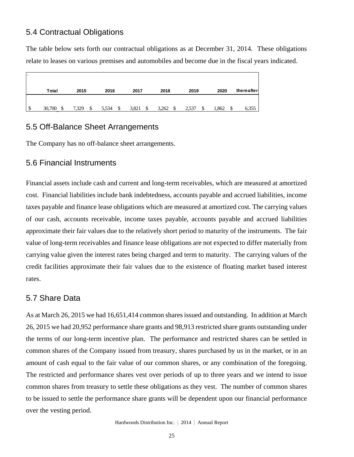### 5.4 Contractual Obligations

The table below sets forth our contractual obligations as at December 31, 2014. These obligations relate to leases on various premises and automobiles and become due in the fiscal years indicated.

|   | Total  | 2015        | 2016        | 2017        | 2018       | 2019  | 2020        | thereafter |
|---|--------|-------------|-------------|-------------|------------|-------|-------------|------------|
|   |        |             |             |             |            |       |             |            |
| S | 30,700 | 7,329<br>\$ | \$<br>5,534 | 3,821<br>\$ | 3,262<br>S | 2,537 | 1,862<br>\$ | 6,355      |

### 5.5 Off-Balance Sheet Arrangements

The Company has no off-balance sheet arrangements.

### 5.6 Financial Instruments

Financial assets include cash and current and long-term receivables, which are measured at amortized cost. Financial liabilities include bank indebtedness, accounts payable and accrued liabilities, income taxes payable and finance lease obligations which are measured at amortized cost. The carrying values of our cash, accounts receivable, income taxes payable, accounts payable and accrued liabilities approximate their fair values due to the relatively short period to maturity of the instruments. The fair value of long-term receivables and finance lease obligations are not expected to differ materially from carrying value given the interest rates being charged and term to maturity. The carrying values of the credit facilities approximate their fair values due to the existence of floating market based interest rates.

### 5.7 Share Data

As at March 26, 2015 we had 16,651,414 common shares issued and outstanding. In addition at March 26, 2015 we had 20,952 performance share grants and 98,913 restricted share grants outstanding under the terms of our long-term incentive plan. The performance and restricted shares can be settled in common shares of the Company issued from treasury, shares purchased by us in the market, or in an amount of cash equal to the fair value of our common shares, or any combination of the foregoing. The restricted and performance shares vest over periods of up to three years and we intend to issue common shares from treasury to settle these obligations as they vest. The number of common shares to be issued to settle the performance share grants will be dependent upon our financial performance over the vesting period.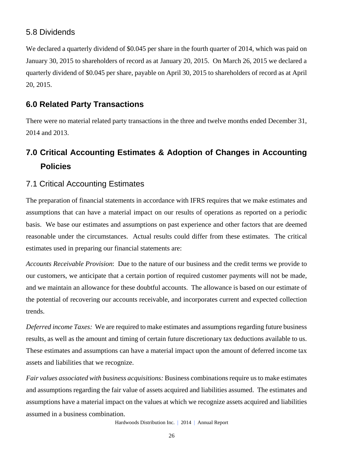### 5.8 Dividends

We declared a quarterly dividend of \$0.045 per share in the fourth quarter of 2014, which was paid on January 30, 2015 to shareholders of record as at January 20, 2015. On March 26, 2015 we declared a quarterly dividend of \$0.045 per share, payable on April 30, 2015 to shareholders of record as at April 20, 2015.

## **6.0 Related Party Transactions**

There were no material related party transactions in the three and twelve months ended December 31, 2014 and 2013.

## **7.0 Critical Accounting Estimates & Adoption of Changes in Accounting Policies**

### 7.1 Critical Accounting Estimates

The preparation of financial statements in accordance with IFRS requires that we make estimates and assumptions that can have a material impact on our results of operations as reported on a periodic basis. We base our estimates and assumptions on past experience and other factors that are deemed reasonable under the circumstances. Actual results could differ from these estimates. The critical estimates used in preparing our financial statements are:

*Accounts Receivable Provision*: Due to the nature of our business and the credit terms we provide to our customers, we anticipate that a certain portion of required customer payments will not be made, and we maintain an allowance for these doubtful accounts. The allowance is based on our estimate of the potential of recovering our accounts receivable, and incorporates current and expected collection trends.

*Deferred income Taxes:* We are required to make estimates and assumptions regarding future business results, as well as the amount and timing of certain future discretionary tax deductions available to us. These estimates and assumptions can have a material impact upon the amount of deferred income tax assets and liabilities that we recognize.

*Fair values associated with business acquisitions:* Business combinations require us to make estimates and assumptions regarding the fair value of assets acquired and liabilities assumed. The estimates and assumptions have a material impact on the values at which we recognize assets acquired and liabilities assumed in a business combination.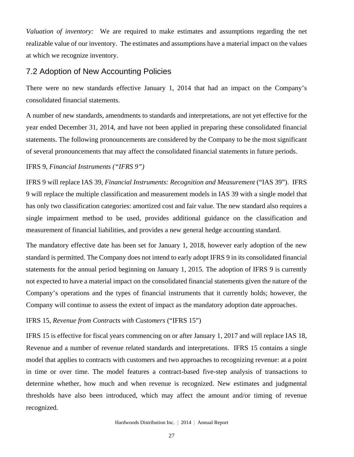*Valuation of inventory:* We are required to make estimates and assumptions regarding the net realizable value of our inventory. The estimates and assumptions have a material impact on the values at which we recognize inventory.

### 7.2 Adoption of New Accounting Policies

There were no new standards effective January 1, 2014 that had an impact on the Company's consolidated financial statements.

A number of new standards, amendments to standards and interpretations, are not yet effective for the year ended December 31, 2014, and have not been applied in preparing these consolidated financial statements. The following pronouncements are considered by the Company to be the most significant of several pronouncements that may affect the consolidated financial statements in future periods.

#### IFRS 9, *Financial Instruments ("IFRS 9")*

IFRS 9 will replace IAS 39, *Financial Instruments: Recognition and Measurement* ("IAS 39"). IFRS 9 will replace the multiple classification and measurement models in IAS 39 with a single model that has only two classification categories: amortized cost and fair value. The new standard also requires a single impairment method to be used, provides additional guidance on the classification and measurement of financial liabilities, and provides a new general hedge accounting standard.

The mandatory effective date has been set for January 1, 2018, however early adoption of the new standard is permitted. The Company does not intend to early adopt IFRS 9 in its consolidated financial statements for the annual period beginning on January 1, 2015. The adoption of IFRS 9 is currently not expected to have a material impact on the consolidated financial statements given the nature of the Company's operations and the types of financial instruments that it currently holds; however, the Company will continue to assess the extent of impact as the mandatory adoption date approaches.

### IFRS 15, *Revenue from Contracts with Customers* ("IFRS 15")

IFRS 15 is effective for fiscal years commencing on or after January 1, 2017 and will replace IAS 18, Revenue and a number of revenue related standards and interpretations. IFRS 15 contains a single model that applies to contracts with customers and two approaches to recognizing revenue: at a point in time or over time. The model features a contract-based five-step analysis of transactions to determine whether, how much and when revenue is recognized. New estimates and judgmental thresholds have also been introduced, which may affect the amount and/or timing of revenue recognized.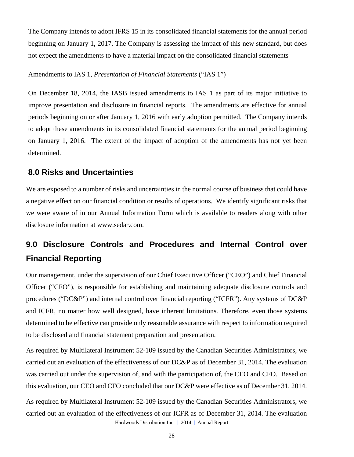The Company intends to adopt IFRS 15 in its consolidated financial statements for the annual period beginning on January 1, 2017. The Company is assessing the impact of this new standard, but does not expect the amendments to have a material impact on the consolidated financial statements

Amendments to IAS 1, *Presentation of Financial Statements* ("IAS 1")

On December 18, 2014, the IASB issued amendments to IAS 1 as part of its major initiative to improve presentation and disclosure in financial reports. The amendments are effective for annual periods beginning on or after January 1, 2016 with early adoption permitted. The Company intends to adopt these amendments in its consolidated financial statements for the annual period beginning on January 1, 2016. The extent of the impact of adoption of the amendments has not yet been determined.

### **8.0 Risks and Uncertainties**

We are exposed to a number of risks and uncertainties in the normal course of business that could have a negative effect on our financial condition or results of operations. We identify significant risks that we were aware of in our Annual Information Form which is available to readers along with other disclosure information at www.sedar.com.

## **9.0 Disclosure Controls and Procedures and Internal Control over Financial Reporting**

Our management, under the supervision of our Chief Executive Officer ("CEO") and Chief Financial Officer ("CFO"), is responsible for establishing and maintaining adequate disclosure controls and procedures ("DC&P") and internal control over financial reporting ("ICFR"). Any systems of DC&P and ICFR, no matter how well designed, have inherent limitations. Therefore, even those systems determined to be effective can provide only reasonable assurance with respect to information required to be disclosed and financial statement preparation and presentation.

As required by Multilateral Instrument 52-109 issued by the Canadian Securities Administrators, we carried out an evaluation of the effectiveness of our DC&P as of December 31, 2014. The evaluation was carried out under the supervision of, and with the participation of, the CEO and CFO. Based on this evaluation, our CEO and CFO concluded that our DC&P were effective as of December 31, 2014.

Hardwoods Distribution Inc. | 2014 | Annual Report As required by Multilateral Instrument 52-109 issued by the Canadian Securities Administrators, we carried out an evaluation of the effectiveness of our ICFR as of December 31, 2014. The evaluation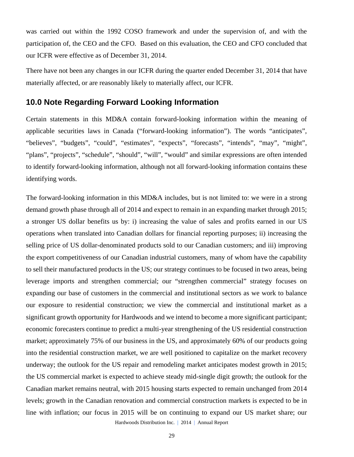was carried out within the 1992 COSO framework and under the supervision of, and with the participation of, the CEO and the CFO. Based on this evaluation, the CEO and CFO concluded that our ICFR were effective as of December 31, 2014.

There have not been any changes in our ICFR during the quarter ended December 31, 2014 that have materially affected, or are reasonably likely to materially affect, our ICFR.

### **10.0 Note Regarding Forward Looking Information**

Certain statements in this MD&A contain forward-looking information within the meaning of applicable securities laws in Canada ("forward-looking information"). The words "anticipates", "believes", "budgets", "could", "estimates", "expects", "forecasts", "intends", "may", "might", "plans", "projects", "schedule", "should", "will", "would" and similar expressions are often intended to identify forward-looking information, although not all forward-looking information contains these identifying words.

Hardwoods Distribution Inc. | 2014 | Annual Report The forward-looking information in this MD&A includes, but is not limited to: we were in a strong demand growth phase through all of 2014 and expect to remain in an expanding market through 2015; a stronger US dollar benefits us by: i) increasing the value of sales and profits earned in our US operations when translated into Canadian dollars for financial reporting purposes; ii) increasing the selling price of US dollar-denominated products sold to our Canadian customers; and iii) improving the export competitiveness of our Canadian industrial customers, many of whom have the capability to sell their manufactured products in the US; our strategy continues to be focused in two areas, being leverage imports and strengthen commercial; our "strengthen commercial" strategy focuses on expanding our base of customers in the commercial and institutional sectors as we work to balance our exposure to residential construction; we view the commercial and institutional market as a significant growth opportunity for Hardwoods and we intend to become a more significant participant; economic forecasters continue to predict a multi-year strengthening of the US residential construction market; approximately 75% of our business in the US, and approximately 60% of our products going into the residential construction market, we are well positioned to capitalize on the market recovery underway; the outlook for the US repair and remodeling market anticipates modest growth in 2015; the US commercial market is expected to achieve steady mid-single digit growth; the outlook for the Canadian market remains neutral, with 2015 housing starts expected to remain unchanged from 2014 levels; growth in the Canadian renovation and commercial construction markets is expected to be in line with inflation; our focus in 2015 will be on continuing to expand our US market share; our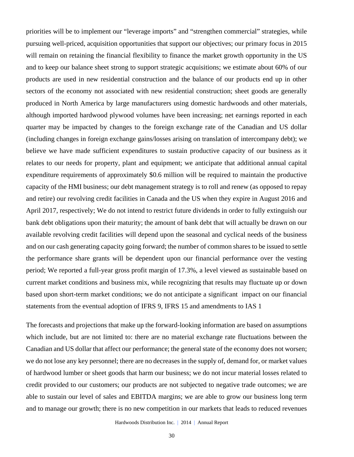priorities will be to implement our "leverage imports" and "strengthen commercial" strategies, while pursuing well-priced, acquisition opportunities that support our objectives; our primary focus in 2015 will remain on retaining the financial flexibility to finance the market growth opportunity in the US and to keep our balance sheet strong to support strategic acquisitions; we estimate about 60% of our products are used in new residential construction and the balance of our products end up in other sectors of the economy not associated with new residential construction; sheet goods are generally produced in North America by large manufacturers using domestic hardwoods and other materials, although imported hardwood plywood volumes have been increasing; net earnings reported in each quarter may be impacted by changes to the foreign exchange rate of the Canadian and US dollar (including changes in foreign exchange gains/losses arising on translation of intercompany debt); we believe we have made sufficient expenditures to sustain productive capacity of our business as it relates to our needs for property, plant and equipment; we anticipate that additional annual capital expenditure requirements of approximately \$0.6 million will be required to maintain the productive capacity of the HMI business; our debt management strategy is to roll and renew (as opposed to repay and retire) our revolving credit facilities in Canada and the US when they expire in August 2016 and April 2017, respectively; We do not intend to restrict future dividends in order to fully extinguish our bank debt obligations upon their maturity; the amount of bank debt that will actually be drawn on our available revolving credit facilities will depend upon the seasonal and cyclical needs of the business and on our cash generating capacity going forward; the number of common shares to be issued to settle the performance share grants will be dependent upon our financial performance over the vesting period; We reported a full-year gross profit margin of 17.3%, a level viewed as sustainable based on current market conditions and business mix, while recognizing that results may fluctuate up or down based upon short-term market conditions; we do not anticipate a significant impact on our financial statements from the eventual adoption of IFRS 9, IFRS 15 and amendments to IAS 1

The forecasts and projections that make up the forward-looking information are based on assumptions which include, but are not limited to: there are no material exchange rate fluctuations between the Canadian and US dollar that affect our performance; the general state of the economy does not worsen; we do not lose any key personnel; there are no decreases in the supply of, demand for, or market values of hardwood lumber or sheet goods that harm our business; we do not incur material losses related to credit provided to our customers; our products are not subjected to negative trade outcomes; we are able to sustain our level of sales and EBITDA margins; we are able to grow our business long term and to manage our growth; there is no new competition in our markets that leads to reduced revenues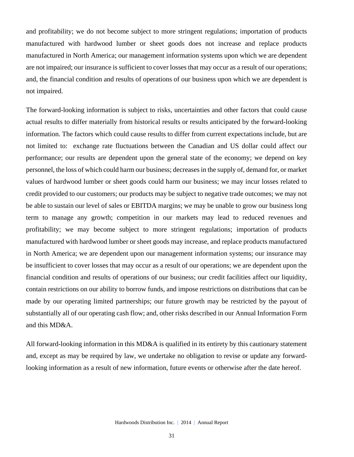and profitability; we do not become subject to more stringent regulations; importation of products manufactured with hardwood lumber or sheet goods does not increase and replace products manufactured in North America; our management information systems upon which we are dependent are not impaired; our insurance is sufficient to cover losses that may occur as a result of our operations; and, the financial condition and results of operations of our business upon which we are dependent is not impaired.

The forward-looking information is subject to risks, uncertainties and other factors that could cause actual results to differ materially from historical results or results anticipated by the forward-looking information. The factors which could cause results to differ from current expectations include, but are not limited to: exchange rate fluctuations between the Canadian and US dollar could affect our performance; our results are dependent upon the general state of the economy; we depend on key personnel, the loss of which could harm our business; decreases in the supply of, demand for, or market values of hardwood lumber or sheet goods could harm our business; we may incur losses related to credit provided to our customers; our products may be subject to negative trade outcomes; we may not be able to sustain our level of sales or EBITDA margins; we may be unable to grow our business long term to manage any growth; competition in our markets may lead to reduced revenues and profitability; we may become subject to more stringent regulations; importation of products manufactured with hardwood lumber or sheet goods may increase, and replace products manufactured in North America; we are dependent upon our management information systems; our insurance may be insufficient to cover losses that may occur as a result of our operations; we are dependent upon the financial condition and results of operations of our business; our credit facilities affect our liquidity, contain restrictions on our ability to borrow funds, and impose restrictions on distributions that can be made by our operating limited partnerships; our future growth may be restricted by the payout of substantially all of our operating cash flow; and, other risks described in our Annual Information Form and this MD&A.

All forward-looking information in this MD&A is qualified in its entirety by this cautionary statement and, except as may be required by law, we undertake no obligation to revise or update any forwardlooking information as a result of new information, future events or otherwise after the date hereof.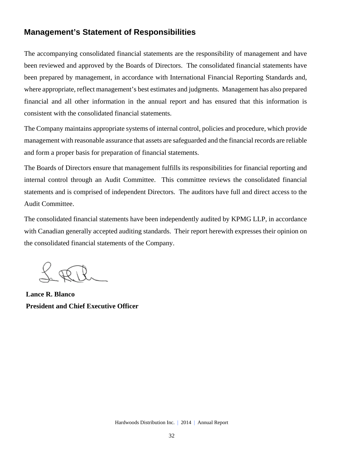### **Management's Statement of Responsibilities**

The accompanying consolidated financial statements are the responsibility of management and have been reviewed and approved by the Boards of Directors. The consolidated financial statements have been prepared by management, in accordance with International Financial Reporting Standards and, where appropriate, reflect management's best estimates and judgments. Management has also prepared financial and all other information in the annual report and has ensured that this information is consistent with the consolidated financial statements.

The Company maintains appropriate systems of internal control, policies and procedure, which provide management with reasonable assurance that assets are safeguarded and the financial records are reliable and form a proper basis for preparation of financial statements.

The Boards of Directors ensure that management fulfills its responsibilities for financial reporting and internal control through an Audit Committee. This committee reviews the consolidated financial statements and is comprised of independent Directors. The auditors have full and direct access to the Audit Committee.

The consolidated financial statements have been independently audited by KPMG LLP, in accordance with Canadian generally accepted auditing standards. Their report herewith expresses their opinion on the consolidated financial statements of the Company.

**Lance R. Blanco President and Chief Executive Officer**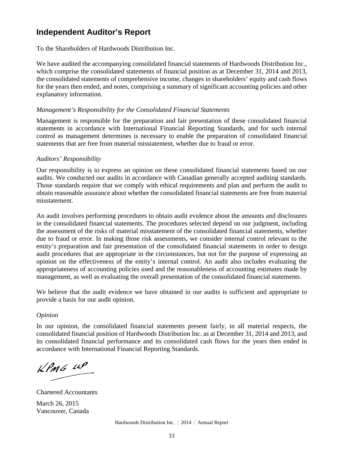### **Independent Auditor's Report**

To the Shareholders of Hardwoods Distribution Inc.

We have audited the accompanying consolidated financial statements of Hardwoods Distribution Inc., which comprise the consolidated statements of financial position as at December 31, 2014 and 2013, the consolidated statements of comprehensive income, changes in shareholders' equity and cash flows for the years then ended, and notes, comprising a summary of significant accounting policies and other explanatory information.

#### *Management's Responsibility for the Consolidated Financial Statements*

Management is responsible for the preparation and fair presentation of these consolidated financial statements in accordance with International Financial Reporting Standards, and for such internal control as management determines is necessary to enable the preparation of consolidated financial statements that are free from material misstatement, whether due to fraud or error.

#### *Auditors' Responsibility*

Our responsibility is to express an opinion on these consolidated financial statements based on our audits. We conducted our audits in accordance with Canadian generally accepted auditing standards. Those standards require that we comply with ethical requirements and plan and perform the audit to obtain reasonable assurance about whether the consolidated financial statements are free from material misstatement.

An audit involves performing procedures to obtain audit evidence about the amounts and disclosures in the consolidated financial statements. The procedures selected depend on our judgment, including the assessment of the risks of material misstatement of the consolidated financial statements, whether due to fraud or error. In making those risk assessments, we consider internal control relevant to the entity's preparation and fair presentation of the consolidated financial statements in order to design audit procedures that are appropriate in the circumstances, but not for the purpose of expressing an opinion on the effectiveness of the entity's internal control. An audit also includes evaluating the appropriateness of accounting policies used and the reasonableness of accounting estimates made by management, as well as evaluating the overall presentation of the consolidated financial statements.

We believe that the audit evidence we have obtained in our audits is sufficient and appropriate to provide a basis for our audit opinion.

#### *Opinion*

In our opinion, the consolidated financial statements present fairly, in all material respects, the consolidated financial position of Hardwoods Distribution Inc. as at December 31, 2014 and 2013, and its consolidated financial performance and its consolidated cash flows for the years then ended in accordance with International Financial Reporting Standards.

 $KPMS$   $\mu P$ 

Chartered Accountants March 26, 2015 Vancouver, Canada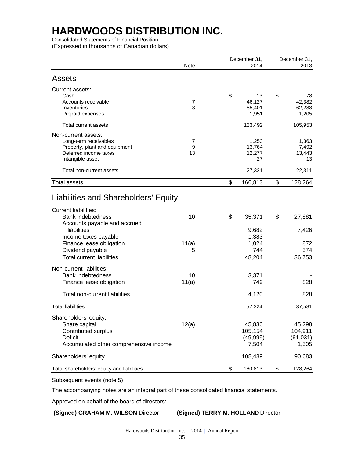Consolidated Statements of Financial Position (Expressed in thousands of Canadian dollars)

|                                                                                                                                 |              | December 31,                           | December 31,                            |
|---------------------------------------------------------------------------------------------------------------------------------|--------------|----------------------------------------|-----------------------------------------|
|                                                                                                                                 | Note         | 2014                                   | 2013                                    |
| Assets                                                                                                                          |              |                                        |                                         |
| Current assets:<br>Cash<br>Accounts receivable<br>Inventories                                                                   | 7<br>8       | \$<br>13<br>46,127<br>85,401           | \$<br>78<br>42,382<br>62,288            |
| Prepaid expenses                                                                                                                |              | 1,951                                  | 1,205                                   |
| Total current assets                                                                                                            |              | 133,492                                | 105,953                                 |
| Non-current assets:<br>Long-term receivables<br>Property, plant and equipment<br>Deferred income taxes<br>Intangible asset      | 7<br>9<br>13 | 1,253<br>13,764<br>12,277<br>27        | 1,363<br>7,492<br>13,443<br>13          |
| Total non-current assets                                                                                                        |              | 27,321                                 | 22,311                                  |
| <b>Total assets</b>                                                                                                             |              | \$<br>160,813                          | \$<br>128,264                           |
| Liabilities and Shareholders' Equity<br><b>Current liabilities:</b><br><b>Bank indebtedness</b><br>Accounts payable and accrued | 10           | \$<br>35,371                           | \$<br>27,881                            |
| liabilities<br>Income taxes payable<br>Finance lease obligation<br>Dividend payable                                             | 11(a)<br>5   | 9,682<br>1,383<br>1,024<br>744         | 7,426<br>872<br>574                     |
| <b>Total current liabilities</b>                                                                                                |              | 48,204                                 | 36,753                                  |
| Non-current liabilities:<br><b>Bank indebtedness</b><br>Finance lease obligation                                                | 10<br>11(a)  | 3,371<br>749                           | 828                                     |
| Total non-current liabilities                                                                                                   |              | 4,120                                  | 828                                     |
| <b>Total liabilities</b>                                                                                                        |              | 52,324                                 | 37,581                                  |
| Shareholders' equity:<br>Share capital<br>Contributed surplus<br>Deficit<br>Accumulated other comprehensive income              | 12(a)        | 45,830<br>105,154<br>(49,999)<br>7,504 | 45,298<br>104,911<br>(61, 031)<br>1,505 |
| Shareholders' equity                                                                                                            |              | 108,489                                | 90,683                                  |
| Total shareholders' equity and liabilities                                                                                      |              | \$<br>160,813                          | \$<br>128,264                           |

Subsequent events (note 5)

The accompanying notes are an integral part of these consolidated financial statements.

Approved on behalf of the board of directors:

#### **(Signed) GRAHAM M. WILSON** Director **(Signed) TERRY M. HOLLAND** Director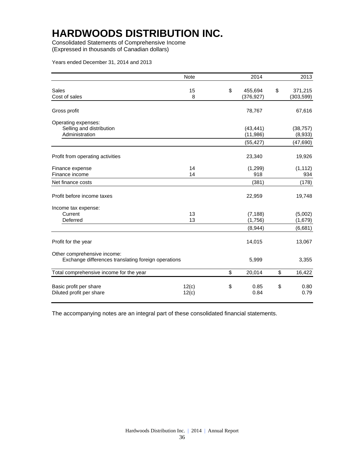Consolidated Statements of Comprehensive Income (Expressed in thousands of Canadian dollars)

Years ended December 31, 2014 and 2013

|                                                                                    | <b>Note</b>    | 2014                           | 2013                          |
|------------------------------------------------------------------------------------|----------------|--------------------------------|-------------------------------|
| <b>Sales</b><br>Cost of sales                                                      | 15<br>8        | \$<br>455,694<br>(376, 927)    | \$<br>371,215<br>(303, 599)   |
| Gross profit                                                                       |                | 78,767                         | 67,616                        |
| Operating expenses:<br>Selling and distribution<br>Administration                  |                | (43, 441)<br>(11, 986)         | (38, 757)<br>(8,933)          |
|                                                                                    |                | (55, 427)                      | (47, 690)                     |
| Profit from operating activities                                                   |                | 23,340                         | 19,926                        |
| Finance expense<br>Finance income                                                  | 14<br>14       | (1, 299)<br>918                | (1, 112)<br>934               |
| Net finance costs                                                                  |                | (381)                          | (178)                         |
| Profit before income taxes                                                         |                | 22,959                         | 19,748                        |
| Income tax expense:<br>Current<br>Deferred                                         | 13<br>13       | (7, 188)<br>(1,756)<br>(8,944) | (5,002)<br>(1,679)<br>(6,681) |
| Profit for the year                                                                |                | 14,015                         | 13,067                        |
| Other comprehensive income:<br>Exchange differences translating foreign operations |                | 5,999                          | 3,355                         |
| Total comprehensive income for the year                                            |                | \$<br>20,014                   | \$<br>16,422                  |
| Basic profit per share<br>Diluted profit per share                                 | 12(c)<br>12(c) | \$<br>0.85<br>0.84             | \$<br>0.80<br>0.79            |

The accompanying notes are an integral part of these consolidated financial statements.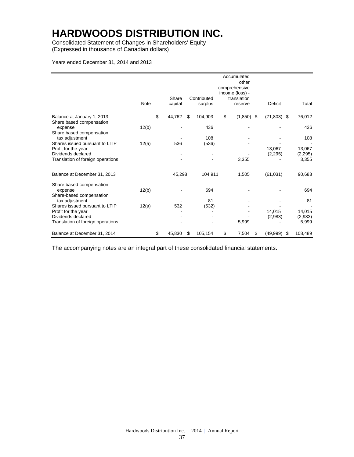Consolidated Statement of Changes in Shareholders' Equity (Expressed in thousands of Canadian dollars)

#### Years ended December 31, 2014 and 2013

|                                                        | <b>Note</b> | Share<br>capital |    | Contributed<br>surplus | Accumulated<br>other<br>comprehensive<br>income (loss) -<br>translation<br>reserve | Deficit        | Total             |
|--------------------------------------------------------|-------------|------------------|----|------------------------|------------------------------------------------------------------------------------|----------------|-------------------|
| Balance at January 1, 2013<br>Share based compensation |             | \$<br>44,762     | S  | 104,903                | \$<br>$(1,850)$ \$                                                                 | $(71,803)$ \$  | 76,012            |
| expense                                                | 12(b)       |                  |    | 436                    |                                                                                    |                | 436               |
| Share based compensation<br>tax adjustment             |             |                  |    | 108                    |                                                                                    |                | 108               |
| Shares issued pursuant to LTIP                         | 12(a)       | 536              |    | (536)                  |                                                                                    |                |                   |
| Profit for the year<br>Dividends declared              |             |                  |    |                        |                                                                                    | 13,067         | 13,067            |
| Translation of foreign operations                      |             |                  |    |                        | 3,355                                                                              | (2,295)        | (2, 295)<br>3,355 |
|                                                        |             |                  |    |                        |                                                                                    |                |                   |
| Balance at December 31, 2013                           |             | 45,298           |    | 104,911                | 1,505                                                                              | (61, 031)      | 90,683            |
| Share based compensation                               |             |                  |    |                        |                                                                                    |                |                   |
| expense                                                | 12(b)       |                  |    | 694                    |                                                                                    |                | 694               |
| Share-based compensation<br>tax adjustment             |             |                  |    | 81                     |                                                                                    |                | 81                |
| Shares issued pursuant to LTIP                         | 12(a)       | 532              |    | (532)                  |                                                                                    |                |                   |
| Profit for the year                                    |             |                  |    |                        |                                                                                    | 14.015         | 14,015            |
| Dividends declared                                     |             |                  |    |                        |                                                                                    | (2,983)        | (2,983)           |
| Translation of foreign operations                      |             |                  |    |                        | 5,999                                                                              |                | 5,999             |
| Balance at December 31, 2014                           |             | \$<br>45,830     | \$ | 105,154                | \$<br>7,504                                                                        | \$<br>(49,999) | \$<br>108,489     |

The accompanying notes are an integral part of these consolidated financial statements.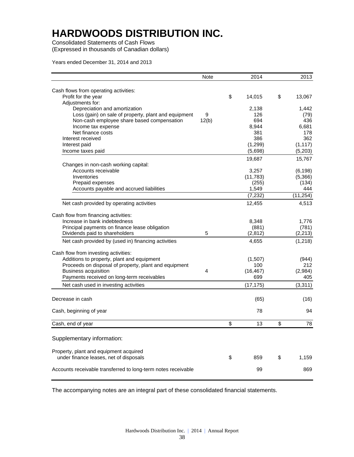Consolidated Statements of Cash Flows (Expressed in thousands of Canadian dollars)

Years ended December 31, 2014 and 2013

| Cash flows from operating activities:<br>\$<br>Profit for the year<br>\$<br>14,015<br>13,067<br>Adjustments for:<br>Depreciation and amortization<br>2,138<br>1,442<br>Loss (gain) on sale of property, plant and equipment<br>9<br>126<br>(79)<br>Non-cash employee share based compensation<br>12(b)<br>694<br>436<br>6,681<br>Income tax expense<br>8,944<br>Net finance costs<br>381<br>178<br>386<br>362<br>Interest received<br>(1, 117)<br>(1, 299)<br>Interest paid<br>(5,203)<br>(5,698)<br>Income taxes paid<br>15,767<br>19,687<br>Changes in non-cash working capital:<br>Accounts receivable<br>(6, 198)<br>3,257<br>(5,366)<br>Inventories<br>(11,783)<br>Prepaid expenses<br>(134)<br>(255)<br>444<br>Accounts payable and accrued liabilities<br>1,549<br>(11, 254)<br>(7, 232)<br>4,513<br>Net cash provided by operating activities<br>12,455<br>Cash flow from financing activities:<br>Increase in bank indebtedness<br>8,348<br>1,776<br>(781)<br>Principal payments on finance lease obligation<br>(881)<br>Dividends paid to shareholders<br>5<br>(2, 213)<br>(2, 812)<br>Net cash provided by (used in) financing activities<br>(1,218)<br>4,655<br>Cash flow from investing activities:<br>Additions to property, plant and equipment<br>(1,507)<br>(944)<br>Proceeds on disposal of property, plant and equipment<br>100<br>212<br><b>Business acquisition</b><br>(16, 467)<br>(2,984)<br>4<br>699<br>Payments received on long-term receivables<br>405<br>(3, 311)<br>Net cash used in investing activities<br>(17, 175)<br>Decrease in cash<br>(65)<br>(16)<br>Cash, beginning of year<br>78<br>94<br>\$<br>\$<br>Cash, end of year<br>13<br>78<br>Supplementary information:<br>Property, plant and equipment acquired<br>under finance leases, net of disposals<br>\$<br>859<br>\$<br>1,159<br>Accounts receivable transferred to long-term notes receivable<br>99<br>869 | <b>Note</b> | 2014 | 2013 |
|---------------------------------------------------------------------------------------------------------------------------------------------------------------------------------------------------------------------------------------------------------------------------------------------------------------------------------------------------------------------------------------------------------------------------------------------------------------------------------------------------------------------------------------------------------------------------------------------------------------------------------------------------------------------------------------------------------------------------------------------------------------------------------------------------------------------------------------------------------------------------------------------------------------------------------------------------------------------------------------------------------------------------------------------------------------------------------------------------------------------------------------------------------------------------------------------------------------------------------------------------------------------------------------------------------------------------------------------------------------------------------------------------------------------------------------------------------------------------------------------------------------------------------------------------------------------------------------------------------------------------------------------------------------------------------------------------------------------------------------------------------------------------------------------------------------------------------------------------------------------------------------------------------|-------------|------|------|
|                                                                                                                                                                                                                                                                                                                                                                                                                                                                                                                                                                                                                                                                                                                                                                                                                                                                                                                                                                                                                                                                                                                                                                                                                                                                                                                                                                                                                                                                                                                                                                                                                                                                                                                                                                                                                                                                                                         |             |      |      |
|                                                                                                                                                                                                                                                                                                                                                                                                                                                                                                                                                                                                                                                                                                                                                                                                                                                                                                                                                                                                                                                                                                                                                                                                                                                                                                                                                                                                                                                                                                                                                                                                                                                                                                                                                                                                                                                                                                         |             |      |      |
|                                                                                                                                                                                                                                                                                                                                                                                                                                                                                                                                                                                                                                                                                                                                                                                                                                                                                                                                                                                                                                                                                                                                                                                                                                                                                                                                                                                                                                                                                                                                                                                                                                                                                                                                                                                                                                                                                                         |             |      |      |
|                                                                                                                                                                                                                                                                                                                                                                                                                                                                                                                                                                                                                                                                                                                                                                                                                                                                                                                                                                                                                                                                                                                                                                                                                                                                                                                                                                                                                                                                                                                                                                                                                                                                                                                                                                                                                                                                                                         |             |      |      |
|                                                                                                                                                                                                                                                                                                                                                                                                                                                                                                                                                                                                                                                                                                                                                                                                                                                                                                                                                                                                                                                                                                                                                                                                                                                                                                                                                                                                                                                                                                                                                                                                                                                                                                                                                                                                                                                                                                         |             |      |      |
|                                                                                                                                                                                                                                                                                                                                                                                                                                                                                                                                                                                                                                                                                                                                                                                                                                                                                                                                                                                                                                                                                                                                                                                                                                                                                                                                                                                                                                                                                                                                                                                                                                                                                                                                                                                                                                                                                                         |             |      |      |
|                                                                                                                                                                                                                                                                                                                                                                                                                                                                                                                                                                                                                                                                                                                                                                                                                                                                                                                                                                                                                                                                                                                                                                                                                                                                                                                                                                                                                                                                                                                                                                                                                                                                                                                                                                                                                                                                                                         |             |      |      |
|                                                                                                                                                                                                                                                                                                                                                                                                                                                                                                                                                                                                                                                                                                                                                                                                                                                                                                                                                                                                                                                                                                                                                                                                                                                                                                                                                                                                                                                                                                                                                                                                                                                                                                                                                                                                                                                                                                         |             |      |      |
|                                                                                                                                                                                                                                                                                                                                                                                                                                                                                                                                                                                                                                                                                                                                                                                                                                                                                                                                                                                                                                                                                                                                                                                                                                                                                                                                                                                                                                                                                                                                                                                                                                                                                                                                                                                                                                                                                                         |             |      |      |
|                                                                                                                                                                                                                                                                                                                                                                                                                                                                                                                                                                                                                                                                                                                                                                                                                                                                                                                                                                                                                                                                                                                                                                                                                                                                                                                                                                                                                                                                                                                                                                                                                                                                                                                                                                                                                                                                                                         |             |      |      |
|                                                                                                                                                                                                                                                                                                                                                                                                                                                                                                                                                                                                                                                                                                                                                                                                                                                                                                                                                                                                                                                                                                                                                                                                                                                                                                                                                                                                                                                                                                                                                                                                                                                                                                                                                                                                                                                                                                         |             |      |      |
|                                                                                                                                                                                                                                                                                                                                                                                                                                                                                                                                                                                                                                                                                                                                                                                                                                                                                                                                                                                                                                                                                                                                                                                                                                                                                                                                                                                                                                                                                                                                                                                                                                                                                                                                                                                                                                                                                                         |             |      |      |
|                                                                                                                                                                                                                                                                                                                                                                                                                                                                                                                                                                                                                                                                                                                                                                                                                                                                                                                                                                                                                                                                                                                                                                                                                                                                                                                                                                                                                                                                                                                                                                                                                                                                                                                                                                                                                                                                                                         |             |      |      |
|                                                                                                                                                                                                                                                                                                                                                                                                                                                                                                                                                                                                                                                                                                                                                                                                                                                                                                                                                                                                                                                                                                                                                                                                                                                                                                                                                                                                                                                                                                                                                                                                                                                                                                                                                                                                                                                                                                         |             |      |      |
|                                                                                                                                                                                                                                                                                                                                                                                                                                                                                                                                                                                                                                                                                                                                                                                                                                                                                                                                                                                                                                                                                                                                                                                                                                                                                                                                                                                                                                                                                                                                                                                                                                                                                                                                                                                                                                                                                                         |             |      |      |
|                                                                                                                                                                                                                                                                                                                                                                                                                                                                                                                                                                                                                                                                                                                                                                                                                                                                                                                                                                                                                                                                                                                                                                                                                                                                                                                                                                                                                                                                                                                                                                                                                                                                                                                                                                                                                                                                                                         |             |      |      |
|                                                                                                                                                                                                                                                                                                                                                                                                                                                                                                                                                                                                                                                                                                                                                                                                                                                                                                                                                                                                                                                                                                                                                                                                                                                                                                                                                                                                                                                                                                                                                                                                                                                                                                                                                                                                                                                                                                         |             |      |      |
|                                                                                                                                                                                                                                                                                                                                                                                                                                                                                                                                                                                                                                                                                                                                                                                                                                                                                                                                                                                                                                                                                                                                                                                                                                                                                                                                                                                                                                                                                                                                                                                                                                                                                                                                                                                                                                                                                                         |             |      |      |
|                                                                                                                                                                                                                                                                                                                                                                                                                                                                                                                                                                                                                                                                                                                                                                                                                                                                                                                                                                                                                                                                                                                                                                                                                                                                                                                                                                                                                                                                                                                                                                                                                                                                                                                                                                                                                                                                                                         |             |      |      |
|                                                                                                                                                                                                                                                                                                                                                                                                                                                                                                                                                                                                                                                                                                                                                                                                                                                                                                                                                                                                                                                                                                                                                                                                                                                                                                                                                                                                                                                                                                                                                                                                                                                                                                                                                                                                                                                                                                         |             |      |      |
|                                                                                                                                                                                                                                                                                                                                                                                                                                                                                                                                                                                                                                                                                                                                                                                                                                                                                                                                                                                                                                                                                                                                                                                                                                                                                                                                                                                                                                                                                                                                                                                                                                                                                                                                                                                                                                                                                                         |             |      |      |
|                                                                                                                                                                                                                                                                                                                                                                                                                                                                                                                                                                                                                                                                                                                                                                                                                                                                                                                                                                                                                                                                                                                                                                                                                                                                                                                                                                                                                                                                                                                                                                                                                                                                                                                                                                                                                                                                                                         |             |      |      |
|                                                                                                                                                                                                                                                                                                                                                                                                                                                                                                                                                                                                                                                                                                                                                                                                                                                                                                                                                                                                                                                                                                                                                                                                                                                                                                                                                                                                                                                                                                                                                                                                                                                                                                                                                                                                                                                                                                         |             |      |      |
|                                                                                                                                                                                                                                                                                                                                                                                                                                                                                                                                                                                                                                                                                                                                                                                                                                                                                                                                                                                                                                                                                                                                                                                                                                                                                                                                                                                                                                                                                                                                                                                                                                                                                                                                                                                                                                                                                                         |             |      |      |
|                                                                                                                                                                                                                                                                                                                                                                                                                                                                                                                                                                                                                                                                                                                                                                                                                                                                                                                                                                                                                                                                                                                                                                                                                                                                                                                                                                                                                                                                                                                                                                                                                                                                                                                                                                                                                                                                                                         |             |      |      |
|                                                                                                                                                                                                                                                                                                                                                                                                                                                                                                                                                                                                                                                                                                                                                                                                                                                                                                                                                                                                                                                                                                                                                                                                                                                                                                                                                                                                                                                                                                                                                                                                                                                                                                                                                                                                                                                                                                         |             |      |      |
|                                                                                                                                                                                                                                                                                                                                                                                                                                                                                                                                                                                                                                                                                                                                                                                                                                                                                                                                                                                                                                                                                                                                                                                                                                                                                                                                                                                                                                                                                                                                                                                                                                                                                                                                                                                                                                                                                                         |             |      |      |
|                                                                                                                                                                                                                                                                                                                                                                                                                                                                                                                                                                                                                                                                                                                                                                                                                                                                                                                                                                                                                                                                                                                                                                                                                                                                                                                                                                                                                                                                                                                                                                                                                                                                                                                                                                                                                                                                                                         |             |      |      |
|                                                                                                                                                                                                                                                                                                                                                                                                                                                                                                                                                                                                                                                                                                                                                                                                                                                                                                                                                                                                                                                                                                                                                                                                                                                                                                                                                                                                                                                                                                                                                                                                                                                                                                                                                                                                                                                                                                         |             |      |      |
|                                                                                                                                                                                                                                                                                                                                                                                                                                                                                                                                                                                                                                                                                                                                                                                                                                                                                                                                                                                                                                                                                                                                                                                                                                                                                                                                                                                                                                                                                                                                                                                                                                                                                                                                                                                                                                                                                                         |             |      |      |
|                                                                                                                                                                                                                                                                                                                                                                                                                                                                                                                                                                                                                                                                                                                                                                                                                                                                                                                                                                                                                                                                                                                                                                                                                                                                                                                                                                                                                                                                                                                                                                                                                                                                                                                                                                                                                                                                                                         |             |      |      |
|                                                                                                                                                                                                                                                                                                                                                                                                                                                                                                                                                                                                                                                                                                                                                                                                                                                                                                                                                                                                                                                                                                                                                                                                                                                                                                                                                                                                                                                                                                                                                                                                                                                                                                                                                                                                                                                                                                         |             |      |      |
|                                                                                                                                                                                                                                                                                                                                                                                                                                                                                                                                                                                                                                                                                                                                                                                                                                                                                                                                                                                                                                                                                                                                                                                                                                                                                                                                                                                                                                                                                                                                                                                                                                                                                                                                                                                                                                                                                                         |             |      |      |
|                                                                                                                                                                                                                                                                                                                                                                                                                                                                                                                                                                                                                                                                                                                                                                                                                                                                                                                                                                                                                                                                                                                                                                                                                                                                                                                                                                                                                                                                                                                                                                                                                                                                                                                                                                                                                                                                                                         |             |      |      |
|                                                                                                                                                                                                                                                                                                                                                                                                                                                                                                                                                                                                                                                                                                                                                                                                                                                                                                                                                                                                                                                                                                                                                                                                                                                                                                                                                                                                                                                                                                                                                                                                                                                                                                                                                                                                                                                                                                         |             |      |      |
|                                                                                                                                                                                                                                                                                                                                                                                                                                                                                                                                                                                                                                                                                                                                                                                                                                                                                                                                                                                                                                                                                                                                                                                                                                                                                                                                                                                                                                                                                                                                                                                                                                                                                                                                                                                                                                                                                                         |             |      |      |
|                                                                                                                                                                                                                                                                                                                                                                                                                                                                                                                                                                                                                                                                                                                                                                                                                                                                                                                                                                                                                                                                                                                                                                                                                                                                                                                                                                                                                                                                                                                                                                                                                                                                                                                                                                                                                                                                                                         |             |      |      |
|                                                                                                                                                                                                                                                                                                                                                                                                                                                                                                                                                                                                                                                                                                                                                                                                                                                                                                                                                                                                                                                                                                                                                                                                                                                                                                                                                                                                                                                                                                                                                                                                                                                                                                                                                                                                                                                                                                         |             |      |      |
|                                                                                                                                                                                                                                                                                                                                                                                                                                                                                                                                                                                                                                                                                                                                                                                                                                                                                                                                                                                                                                                                                                                                                                                                                                                                                                                                                                                                                                                                                                                                                                                                                                                                                                                                                                                                                                                                                                         |             |      |      |
|                                                                                                                                                                                                                                                                                                                                                                                                                                                                                                                                                                                                                                                                                                                                                                                                                                                                                                                                                                                                                                                                                                                                                                                                                                                                                                                                                                                                                                                                                                                                                                                                                                                                                                                                                                                                                                                                                                         |             |      |      |
|                                                                                                                                                                                                                                                                                                                                                                                                                                                                                                                                                                                                                                                                                                                                                                                                                                                                                                                                                                                                                                                                                                                                                                                                                                                                                                                                                                                                                                                                                                                                                                                                                                                                                                                                                                                                                                                                                                         |             |      |      |

The accompanying notes are an integral part of these consolidated financial statements.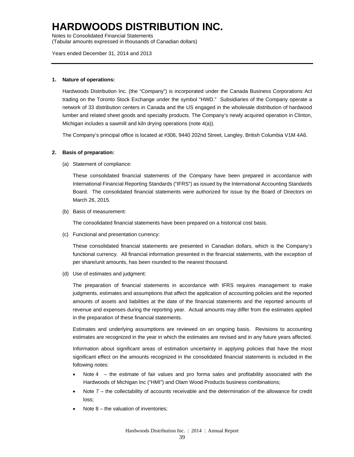Notes to Consolidated Financial Statements

(Tabular amounts expressed in thousands of Canadian dollars)

Years ended December 31, 2014 and 2013

#### **1. Nature of operations:**

Hardwoods Distribution Inc. (the "Company") is incorporated under the Canada Business Corporations Act trading on the Toronto Stock Exchange under the symbol "HWD." Subsidiaries of the Company operate a network of 33 distribution centers in Canada and the US engaged in the wholesale distribution of hardwood lumber and related sheet goods and specialty products. The Company's newly acquired operation in Clinton, Michigan includes a sawmill and kiln drying operations (note 4(a)).

The Company's principal office is located at #306, 9440 202nd Street, Langley, British Columbia V1M 4A6.

#### **2. Basis of preparation:**

(a) Statement of compliance:

These consolidated financial statements of the Company have been prepared in accordance with International Financial Reporting Standards ("IFRS") as issued by the International Accounting Standards Board. The consolidated financial statements were authorized for issue by the Board of Directors on March 26, 2015.

(b) Basis of measurement:

The consolidated financial statements have been prepared on a historical cost basis.

(c) Functional and presentation currency:

These consolidated financial statements are presented in Canadian dollars, which is the Company's functional currency. All financial information presented in the financial statements, with the exception of per share/unit amounts, has been rounded to the nearest thousand.

(d) Use of estimates and judgment:

The preparation of financial statements in accordance with IFRS requires management to make judgments, estimates and assumptions that affect the application of accounting policies and the reported amounts of assets and liabilities at the date of the financial statements and the reported amounts of revenue and expenses during the reporting year. Actual amounts may differ from the estimates applied in the preparation of these financial statements.

Estimates and underlying assumptions are reviewed on an ongoing basis. Revisions to accounting estimates are recognized in the year in which the estimates are revised and in any future years affected.

Information about significant areas of estimation uncertainty in applying policies that have the most significant effect on the amounts recognized in the consolidated financial statements is included in the following notes:

- Note 4 the estimate of fair values and pro forma sales and profitability associated with the Hardwoods of Michigan Inc ("HMI") and Olam Wood Products business combinations;
- Note 7 the collectability of accounts receivable and the determination of the allowance for credit loss;
- Note 8 the valuation of inventories;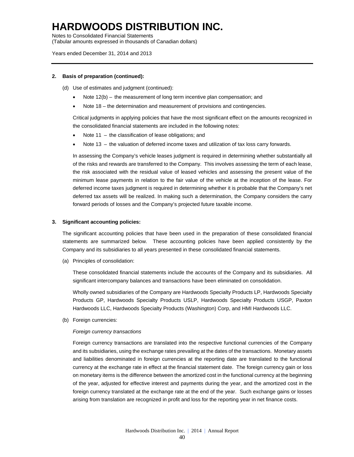Notes to Consolidated Financial Statements

(Tabular amounts expressed in thousands of Canadian dollars)

Years ended December 31, 2014 and 2013

#### **2. Basis of preparation (continued):**

- (d) Use of estimates and judgment (continued):
	- Note 12(b) the measurement of long term incentive plan compensation; and
	- Note 18 the determination and measurement of provisions and contingencies.

Critical judgments in applying policies that have the most significant effect on the amounts recognized in the consolidated financial statements are included in the following notes:

- Note 11 the classification of lease obligations; and
- Note 13 the valuation of deferred income taxes and utilization of tax loss carry forwards.

In assessing the Company's vehicle leases judgment is required in determining whether substantially all of the risks and rewards are transferred to the Company. This involves assessing the term of each lease, the risk associated with the residual value of leased vehicles and assessing the present value of the minimum lease payments in relation to the fair value of the vehicle at the inception of the lease. For deferred income taxes judgment is required in determining whether it is probable that the Company's net deferred tax assets will be realized. In making such a determination, the Company considers the carry forward periods of losses and the Company's projected future taxable income.

#### **3. Significant accounting policies:**

The significant accounting policies that have been used in the preparation of these consolidated financial statements are summarized below. These accounting policies have been applied consistently by the Company and its subsidiaries to all years presented in these consolidated financial statements.

(a) Principles of consolidation:

These consolidated financial statements include the accounts of the Company and its subsidiaries. All significant intercompany balances and transactions have been eliminated on consolidation.

Wholly owned subsidiaries of the Company are Hardwoods Specialty Products LP, Hardwoods Specialty Products GP, Hardwoods Specialty Products USLP, Hardwoods Specialty Products USGP, Paxton Hardwoods LLC, Hardwoods Specialty Products (Washington) Corp, and HMI Hardwoods LLC.

(b) Foreign currencies:

#### *Foreign currency transactions*

Foreign currency transactions are translated into the respective functional currencies of the Company and its subsidiaries, using the exchange rates prevailing at the dates of the transactions. Monetary assets and liabilities denominated in foreign currencies at the reporting date are translated to the functional currency at the exchange rate in effect at the financial statement date. The foreign currency gain or loss on monetary items is the difference between the amortized cost in the functional currency at the beginning of the year, adjusted for effective interest and payments during the year, and the amortized cost in the foreign currency translated at the exchange rate at the end of the year. Such exchange gains or losses arising from translation are recognized in profit and loss for the reporting year in net finance costs.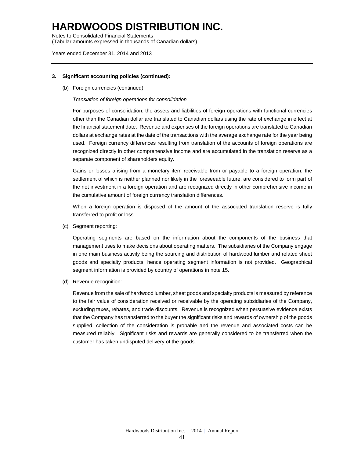Notes to Consolidated Financial Statements (Tabular amounts expressed in thousands of Canadian dollars)

Years ended December 31, 2014 and 2013

#### **3. Significant accounting policies (continued):**

(b) Foreign currencies (continued):

#### *Translation of foreign operations for consolidation*

For purposes of consolidation, the assets and liabilities of foreign operations with functional currencies other than the Canadian dollar are translated to Canadian dollars using the rate of exchange in effect at the financial statement date. Revenue and expenses of the foreign operations are translated to Canadian dollars at exchange rates at the date of the transactions with the average exchange rate for the year being used. Foreign currency differences resulting from translation of the accounts of foreign operations are recognized directly in other comprehensive income and are accumulated in the translation reserve as a separate component of shareholders equity.

Gains or losses arising from a monetary item receivable from or payable to a foreign operation, the settlement of which is neither planned nor likely in the foreseeable future, are considered to form part of the net investment in a foreign operation and are recognized directly in other comprehensive income in the cumulative amount of foreign currency translation differences.

When a foreign operation is disposed of the amount of the associated translation reserve is fully transferred to profit or loss.

(c) Segment reporting:

Operating segments are based on the information about the components of the business that management uses to make decisions about operating matters. The subsidiaries of the Company engage in one main business activity being the sourcing and distribution of hardwood lumber and related sheet goods and specialty products, hence operating segment information is not provided. Geographical segment information is provided by country of operations in note 15.

(d) Revenue recognition:

Revenue from the sale of hardwood lumber, sheet goods and specialty products is measured by reference to the fair value of consideration received or receivable by the operating subsidiaries of the Company, excluding taxes, rebates, and trade discounts. Revenue is recognized when persuasive evidence exists that the Company has transferred to the buyer the significant risks and rewards of ownership of the goods supplied, collection of the consideration is probable and the revenue and associated costs can be measured reliably. Significant risks and rewards are generally considered to be transferred when the customer has taken undisputed delivery of the goods.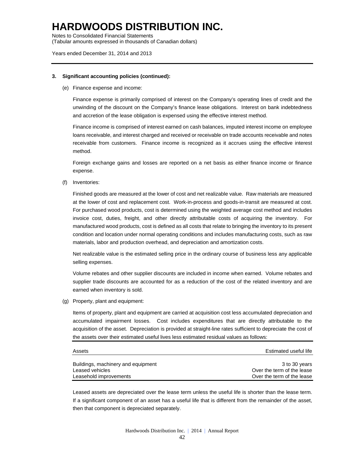Notes to Consolidated Financial Statements

(Tabular amounts expressed in thousands of Canadian dollars)

#### Years ended December 31, 2014 and 2013

#### **3. Significant accounting policies (continued):**

(e) Finance expense and income:

Finance expense is primarily comprised of interest on the Company's operating lines of credit and the unwinding of the discount on the Company's finance lease obligations. Interest on bank indebtedness and accretion of the lease obligation is expensed using the effective interest method.

Finance income is comprised of interest earned on cash balances, imputed interest income on employee loans receivable, and interest charged and received or receivable on trade accounts receivable and notes receivable from customers. Finance income is recognized as it accrues using the effective interest method.

Foreign exchange gains and losses are reported on a net basis as either finance income or finance expense.

(f) Inventories:

Finished goods are measured at the lower of cost and net realizable value. Raw materials are measured at the lower of cost and replacement cost. Work-in-process and goods-in-transit are measured at cost. For purchased wood products, cost is determined using the weighted average cost method and includes invoice cost, duties, freight, and other directly attributable costs of acquiring the inventory. For manufactured wood products, cost is defined as all costs that relate to bringing the inventory to its present condition and location under normal operating conditions and includes manufacturing costs, such as raw materials, labor and production overhead, and depreciation and amortization costs.

Net realizable value is the estimated selling price in the ordinary course of business less any applicable selling expenses.

Volume rebates and other supplier discounts are included in income when earned. Volume rebates and supplier trade discounts are accounted for as a reduction of the cost of the related inventory and are earned when inventory is sold.

(g) Property, plant and equipment:

Items of property, plant and equipment are carried at acquisition cost less accumulated depreciation and accumulated impairment losses. Cost includes expenditures that are directly attributable to the acquisition of the asset. Depreciation is provided at straight-line rates sufficient to depreciate the cost of the assets over their estimated useful lives less estimated residual values as follows:

| Assets                             | Estimated useful life      |
|------------------------------------|----------------------------|
| Buildings, machinery and equipment | 3 to 30 years              |
| Leased vehicles                    | Over the term of the lease |
| Leasehold improvements             | Over the term of the lease |

Leased assets are depreciated over the lease term unless the useful life is shorter than the lease term. If a significant component of an asset has a useful life that is different from the remainder of the asset, then that component is depreciated separately.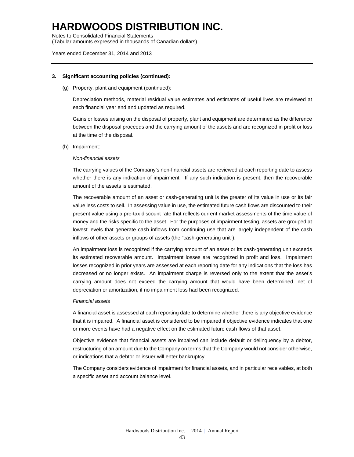Notes to Consolidated Financial Statements

(Tabular amounts expressed in thousands of Canadian dollars)

#### Years ended December 31, 2014 and 2013

#### **3. Significant accounting policies (continued):**

#### (g) Property, plant and equipment (continued):

Depreciation methods, material residual value estimates and estimates of useful lives are reviewed at each financial year end and updated as required.

Gains or losses arising on the disposal of property, plant and equipment are determined as the difference between the disposal proceeds and the carrying amount of the assets and are recognized in profit or loss at the time of the disposal.

#### (h) Impairment:

#### *Non-financial assets*

The carrying values of the Company's non-financial assets are reviewed at each reporting date to assess whether there is any indication of impairment. If any such indication is present, then the recoverable amount of the assets is estimated.

The recoverable amount of an asset or cash-generating unit is the greater of its value in use or its fair value less costs to sell. In assessing value in use, the estimated future cash flows are discounted to their present value using a pre-tax discount rate that reflects current market assessments of the time value of money and the risks specific to the asset. For the purposes of impairment testing, assets are grouped at lowest levels that generate cash inflows from continuing use that are largely independent of the cash inflows of other assets or groups of assets (the "cash-generating unit").

An impairment loss is recognized if the carrying amount of an asset or its cash-generating unit exceeds its estimated recoverable amount. Impairment losses are recognized in profit and loss. Impairment losses recognized in prior years are assessed at each reporting date for any indications that the loss has decreased or no longer exists. An impairment charge is reversed only to the extent that the asset's carrying amount does not exceed the carrying amount that would have been determined, net of depreciation or amortization, if no impairment loss had been recognized.

#### *Financial assets*

A financial asset is assessed at each reporting date to determine whether there is any objective evidence that it is impaired. A financial asset is considered to be impaired if objective evidence indicates that one or more events have had a negative effect on the estimated future cash flows of that asset.

Objective evidence that financial assets are impaired can include default or delinquency by a debtor, restructuring of an amount due to the Company on terms that the Company would not consider otherwise, or indications that a debtor or issuer will enter bankruptcy.

The Company considers evidence of impairment for financial assets, and in particular receivables, at both a specific asset and account balance level.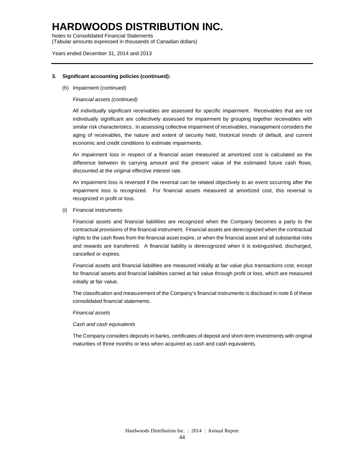Notes to Consolidated Financial Statements

(Tabular amounts expressed in thousands of Canadian dollars)

#### Years ended December 31, 2014 and 2013

#### **3. Significant accounting policies (continued):**

(h) Impairment (continued)

#### *Financial assets (continued)*

All individually significant receivables are assessed for specific impairment. Receivables that are not individually significant are collectively assessed for impairment by grouping together receivables with similar risk characteristics. In assessing collective impairment of receivables, management considers the aging of receivables, the nature and extent of security held, historical trends of default, and current economic and credit conditions to estimate impairments.

An impairment loss in respect of a financial asset measured at amortized cost is calculated as the difference between its carrying amount and the present value of the estimated future cash flows, discounted at the original effective interest rate.

An impairment loss is reversed if the reversal can be related objectively to an event occurring after the impairment loss is recognized. For financial assets measured at amortized cost, this reversal is recognized in profit or loss.

(i) Financial instruments:

Financial assets and financial liabilities are recognized when the Company becomes a party to the contractual provisions of the financial instrument. Financial assets are derecognized when the contractual rights to the cash flows from the financial asset expire, or when the financial asset and all substantial risks and rewards are transferred. A financial liability is derecognized when it is extinguished, discharged, cancelled or expires.

Financial assets and financial liabilities are measured initially at fair value plus transactions cost, except for financial assets and financial liabilities carried at fair value through profit or loss, which are measured initially at fair value.

The classification and measurement of the Company's financial instruments is disclosed in note 6 of these consolidated financial statements.

#### *Financial assets*

#### *Cash and cash equivalents*

The Company considers deposits in banks, certificates of deposit and short-term investments with original maturities of three months or less when acquired as cash and cash equivalents.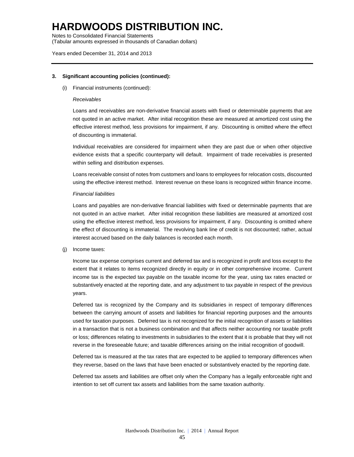Notes to Consolidated Financial Statements

(Tabular amounts expressed in thousands of Canadian dollars)

#### Years ended December 31, 2014 and 2013

#### **3. Significant accounting policies (continued):**

(i) Financial instruments (continued):

#### *Receivables*

Loans and receivables are non-derivative financial assets with fixed or determinable payments that are not quoted in an active market. After initial recognition these are measured at amortized cost using the effective interest method, less provisions for impairment, if any. Discounting is omitted where the effect of discounting is immaterial.

Individual receivables are considered for impairment when they are past due or when other objective evidence exists that a specific counterparty will default. Impairment of trade receivables is presented within selling and distribution expenses.

Loans receivable consist of notes from customers and loans to employees for relocation costs, discounted using the effective interest method. Interest revenue on these loans is recognized within finance income.

#### *Financial liabilities*

Loans and payables are non-derivative financial liabilities with fixed or determinable payments that are not quoted in an active market. After initial recognition these liabilities are measured at amortized cost using the effective interest method, less provisions for impairment, if any. Discounting is omitted where the effect of discounting is immaterial. The revolving bank line of credit is not discounted; rather, actual interest accrued based on the daily balances is recorded each month.

(j) Income taxes:

Income tax expense comprises current and deferred tax and is recognized in profit and loss except to the extent that it relates to items recognized directly in equity or in other comprehensive income. Current income tax is the expected tax payable on the taxable income for the year, using tax rates enacted or substantively enacted at the reporting date, and any adjustment to tax payable in respect of the previous years.

Deferred tax is recognized by the Company and its subsidiaries in respect of temporary differences between the carrying amount of assets and liabilities for financial reporting purposes and the amounts used for taxation purposes. Deferred tax is not recognized for the initial recognition of assets or liabilities in a transaction that is not a business combination and that affects neither accounting nor taxable profit or loss; differences relating to investments in subsidiaries to the extent that it is probable that they will not reverse in the foreseeable future; and taxable differences arising on the initial recognition of goodwill.

Deferred tax is measured at the tax rates that are expected to be applied to temporary differences when they reverse, based on the laws that have been enacted or substantively enacted by the reporting date.

Deferred tax assets and liabilities are offset only when the Company has a legally enforceable right and intention to set off current tax assets and liabilities from the same taxation authority.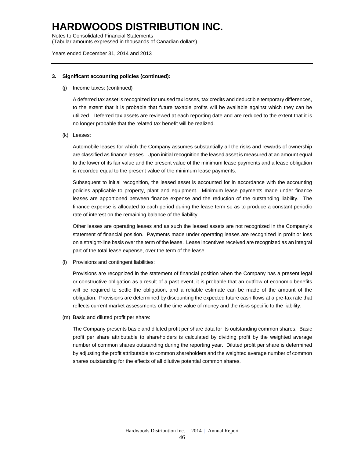Notes to Consolidated Financial Statements

(Tabular amounts expressed in thousands of Canadian dollars)

#### Years ended December 31, 2014 and 2013

#### **3. Significant accounting policies (continued):**

(j) Income taxes: (continued)

A deferred tax asset is recognized for unused tax losses, tax credits and deductible temporary differences, to the extent that it is probable that future taxable profits will be available against which they can be utilized. Deferred tax assets are reviewed at each reporting date and are reduced to the extent that it is no longer probable that the related tax benefit will be realized.

(k) Leases:

Automobile leases for which the Company assumes substantially all the risks and rewards of ownership are classified as finance leases. Upon initial recognition the leased asset is measured at an amount equal to the lower of its fair value and the present value of the minimum lease payments and a lease obligation is recorded equal to the present value of the minimum lease payments.

Subsequent to initial recognition, the leased asset is accounted for in accordance with the accounting policies applicable to property, plant and equipment. Minimum lease payments made under finance leases are apportioned between finance expense and the reduction of the outstanding liability. The finance expense is allocated to each period during the lease term so as to produce a constant periodic rate of interest on the remaining balance of the liability.

Other leases are operating leases and as such the leased assets are not recognized in the Company's statement of financial position. Payments made under operating leases are recognized in profit or loss on a straight-line basis over the term of the lease. Lease incentives received are recognized as an integral part of the total lease expense, over the term of the lease.

(l) Provisions and contingent liabilities:

Provisions are recognized in the statement of financial position when the Company has a present legal or constructive obligation as a result of a past event, it is probable that an outflow of economic benefits will be required to settle the obligation, and a reliable estimate can be made of the amount of the obligation. Provisions are determined by discounting the expected future cash flows at a pre-tax rate that reflects current market assessments of the time value of money and the risks specific to the liability.

(m) Basic and diluted profit per share:

The Company presents basic and diluted profit per share data for its outstanding common shares. Basic profit per share attributable to shareholders is calculated by dividing profit by the weighted average number of common shares outstanding during the reporting year. Diluted profit per share is determined by adjusting the profit attributable to common shareholders and the weighted average number of common shares outstanding for the effects of all dilutive potential common shares.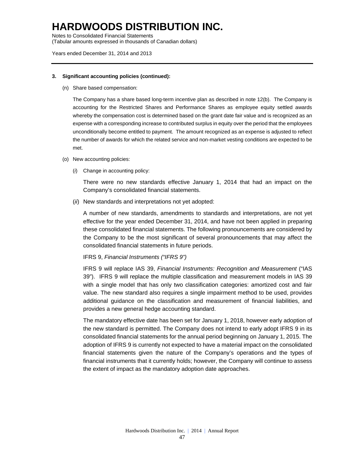Notes to Consolidated Financial Statements

(Tabular amounts expressed in thousands of Canadian dollars)

#### Years ended December 31, 2014 and 2013

#### **3. Significant accounting policies (continued):**

(n) Share based compensation:

The Company has a share based long-term incentive plan as described in note 12(b). The Company is accounting for the Restricted Shares and Performance Shares as employee equity settled awards whereby the compensation cost is determined based on the grant date fair value and is recognized as an expense with a corresponding increase to contributed surplus in equity over the period that the employees unconditionally become entitled to payment. The amount recognized as an expense is adjusted to reflect the number of awards for which the related service and non-market vesting conditions are expected to be met.

- (o) New accounting policies:
	- (*i*) Change in accounting policy:

There were no new standards effective January 1, 2014 that had an impact on the Company's consolidated financial statements.

(*ii*) New standards and interpretations not yet adopted:

A number of new standards, amendments to standards and interpretations, are not yet effective for the year ended December 31, 2014, and have not been applied in preparing these consolidated financial statements. The following pronouncements are considered by the Company to be the most significant of several pronouncements that may affect the consolidated financial statements in future periods.

#### IFRS 9, *Financial Instruments ("IFRS 9")*

IFRS 9 will replace IAS 39, *Financial Instruments: Recognition and Measurement* ("IAS 39"). IFRS 9 will replace the multiple classification and measurement models in IAS 39 with a single model that has only two classification categories: amortized cost and fair value. The new standard also requires a single impairment method to be used, provides additional guidance on the classification and measurement of financial liabilities, and provides a new general hedge accounting standard.

The mandatory effective date has been set for January 1, 2018, however early adoption of the new standard is permitted. The Company does not intend to early adopt IFRS 9 in its consolidated financial statements for the annual period beginning on January 1, 2015. The adoption of IFRS 9 is currently not expected to have a material impact on the consolidated financial statements given the nature of the Company's operations and the types of financial instruments that it currently holds; however, the Company will continue to assess the extent of impact as the mandatory adoption date approaches.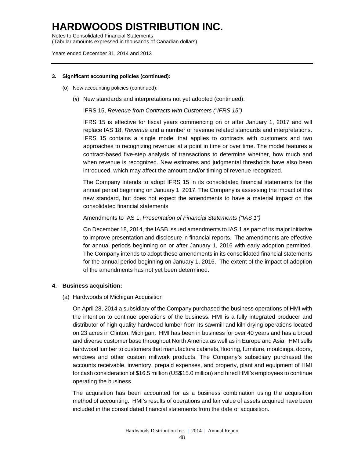Notes to Consolidated Financial Statements (Tabular amounts expressed in thousands of Canadian dollars)

Years ended December 31, 2014 and 2013

#### **3. Significant accounting policies (continued):**

- (o) New accounting policies (continued):
	- (*ii*) New standards and interpretations not yet adopted (continued):

IFRS 15, *Revenue from Contracts with Customers ("IFRS 15")*

IFRS 15 is effective for fiscal years commencing on or after January 1, 2017 and will replace IAS 18, *Revenue* and a number of revenue related standards and interpretations. IFRS 15 contains a single model that applies to contracts with customers and two approaches to recognizing revenue: at a point in time or over time. The model features a contract-based five-step analysis of transactions to determine whether, how much and when revenue is recognized. New estimates and judgmental thresholds have also been introduced, which may affect the amount and/or timing of revenue recognized.

The Company intends to adopt IFRS 15 in its consolidated financial statements for the annual period beginning on January 1, 2017. The Company is assessing the impact of this new standard, but does not expect the amendments to have a material impact on the consolidated financial statements

Amendments to IAS 1, *Presentation of Financial Statements ("IAS 1")* 

On December 18, 2014, the IASB issued amendments to IAS 1 as part of its major initiative to improve presentation and disclosure in financial reports. The amendments are effective for annual periods beginning on or after January 1, 2016 with early adoption permitted. The Company intends to adopt these amendments in its consolidated financial statements for the annual period beginning on January 1, 2016. The extent of the impact of adoption of the amendments has not yet been determined.

#### **4. Business acquisition:**

(a) Hardwoods of Michigan Acquisition

On April 28, 2014 a subsidiary of the Company purchased the business operations of HMI with the intention to continue operations of the business. HMI is a fully integrated producer and distributor of high quality hardwood lumber from its sawmill and kiln drying operations located on 23 acres in Clinton, Michigan. HMI has been in business for over 40 years and has a broad and diverse customer base throughout North America as well as in Europe and Asia. HMI sells hardwood lumber to customers that manufacture cabinets, flooring, furniture, mouldings, doors, windows and other custom millwork products. The Company's subsidiary purchased the accounts receivable, inventory, prepaid expenses, and property, plant and equipment of HMI for cash consideration of \$16.5 million (US\$15.0 million) and hired HMI's employees to continue operating the business.

The acquisition has been accounted for as a business combination using the acquisition method of accounting. HMI's results of operations and fair value of assets acquired have been included in the consolidated financial statements from the date of acquisition.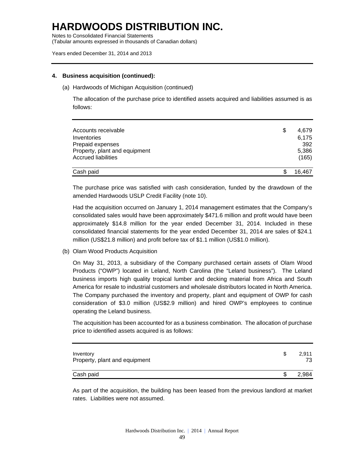Notes to Consolidated Financial Statements (Tabular amounts expressed in thousands of Canadian dollars)

Years ended December 31, 2014 and 2013

#### **4. Business acquisition (continued):**

(a) Hardwoods of Michigan Acquisition (continued)

The allocation of the purchase price to identified assets acquired and liabilities assumed is as follows:

| Accounts receivable<br>Inventories<br>Prepaid expenses<br>Property, plant and equipment<br>Accrued liabilities | \$ | 4.679<br>6,175<br>392<br>5,386<br>(165) |
|----------------------------------------------------------------------------------------------------------------|----|-----------------------------------------|
| Cash paid                                                                                                      | S  | 16.467                                  |

The purchase price was satisfied with cash consideration, funded by the drawdown of the amended Hardwoods USLP Credit Facility (note 10).

Had the acquisition occurred on January 1, 2014 management estimates that the Company's consolidated sales would have been approximately \$471.6 million and profit would have been approximately \$14.8 million for the year ended December 31, 2014. Included in these consolidated financial statements for the year ended December 31, 2014 are sales of \$24.1 million (US\$21.8 million) and profit before tax of \$1.1 million (US\$1.0 million).

(b) Olam Wood Products Acquisition

On May 31, 2013, a subsidiary of the Company purchased certain assets of Olam Wood Products ("OWP") located in Leland, North Carolina (the "Leland business"). The Leland business imports high quality tropical lumber and decking material from Africa and South America for resale to industrial customers and wholesale distributors located in North America. The Company purchased the inventory and property, plant and equipment of OWP for cash consideration of \$3.0 million (US\$2.9 million) and hired OWP's employees to continue operating the Leland business.

The acquisition has been accounted for as a business combination. The allocation of purchase price to identified assets acquired is as follows:

| Inventory<br>Property, plant and equipment | 2.911<br>73. |
|--------------------------------------------|--------------|
| Cash paid                                  | 2.984        |

As part of the acquisition, the building has been leased from the previous landlord at market rates. Liabilities were not assumed.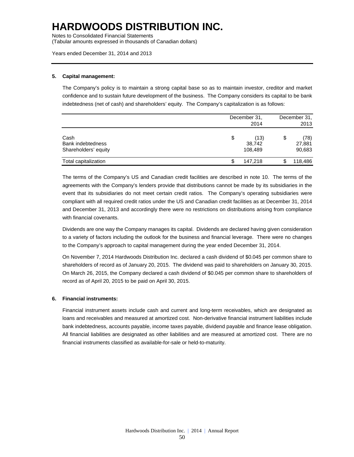Notes to Consolidated Financial Statements

(Tabular amounts expressed in thousands of Canadian dollars)

Years ended December 31, 2014 and 2013

#### **5. Capital management:**

The Company's policy is to maintain a strong capital base so as to maintain investor, creditor and market confidence and to sustain future development of the business. The Company considers its capital to be bank indebtedness (net of cash) and shareholders' equity. The Company's capitalization is as follows:

|                                                   | December 31,<br>2014            |                                |         |
|---------------------------------------------------|---------------------------------|--------------------------------|---------|
| Cash<br>Bank indebtedness<br>Shareholders' equity | \$<br>(13)<br>38,742<br>108.489 | \$<br>(78)<br>27,881<br>90,683 |         |
| Total capitalization                              | \$<br>147.218                   | \$                             | 118,486 |

The terms of the Company's US and Canadian credit facilities are described in note 10. The terms of the agreements with the Company's lenders provide that distributions cannot be made by its subsidiaries in the event that its subsidiaries do not meet certain credit ratios. The Company's operating subsidiaries were compliant with all required credit ratios under the US and Canadian credit facilities as at December 31, 2014 and December 31, 2013 and accordingly there were no restrictions on distributions arising from compliance with financial covenants.

Dividends are one way the Company manages its capital. Dividends are declared having given consideration to a variety of factors including the outlook for the business and financial leverage. There were no changes to the Company's approach to capital management during the year ended December 31, 2014.

On November 7, 2014 Hardwoods Distribution Inc. declared a cash dividend of \$0.045 per common share to shareholders of record as of January 20, 2015. The dividend was paid to shareholders on January 30, 2015. On March 26, 2015, the Company declared a cash dividend of \$0.045 per common share to shareholders of record as of April 20, 2015 to be paid on April 30, 2015.

#### **6. Financial instruments:**

Financial instrument assets include cash and current and long-term receivables, which are designated as loans and receivables and measured at amortized cost. Non-derivative financial instrument liabilities include bank indebtedness, accounts payable, income taxes payable, dividend payable and finance lease obligation. All financial liabilities are designated as other liabilities and are measured at amortized cost. There are no financial instruments classified as available-for-sale or held-to-maturity.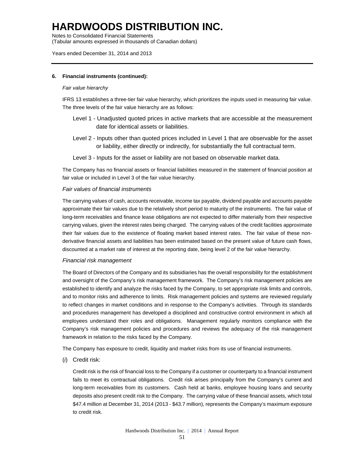Notes to Consolidated Financial Statements

(Tabular amounts expressed in thousands of Canadian dollars)

#### Years ended December 31, 2014 and 2013

#### **6. Financial instruments (continued):**

#### *Fair value hierarchy*

IFRS 13 establishes a three-tier fair value hierarchy, which prioritizes the inputs used in measuring fair value. The three levels of the fair value hierarchy are as follows:

- Level 1 Unadjusted quoted prices in active markets that are accessible at the measurement date for identical assets or liabilities.
- Level 2 Inputs other than quoted prices included in Level 1 that are observable for the asset or liability, either directly or indirectly, for substantially the full contractual term.
- Level 3 Inputs for the asset or liability are not based on observable market data.

The Company has no financial assets or financial liabilities measured in the statement of financial position at fair value or included in Level 3 of the fair value hierarchy.

#### *Fair values of financial instruments*

The carrying values of cash, accounts receivable, income tax payable, dividend payable and accounts payable approximate their fair values due to the relatively short period to maturity of the instruments. The fair value of long-term receivables and finance lease obligations are not expected to differ materially from their respective carrying values, given the interest rates being charged. The carrying values of the credit facilities approximate their fair values due to the existence of floating market based interest rates. The fair value of these nonderivative financial assets and liabilities has been estimated based on the present value of future cash flows, discounted at a market rate of interest at the reporting date, being level 2 of the fair value hierarchy.

#### *Financial risk management*

The Board of Directors of the Company and its subsidiaries has the overall responsibility for the establishment and oversight of the Company's risk management framework. The Company's risk management policies are established to identify and analyze the risks faced by the Company, to set appropriate risk limits and controls, and to monitor risks and adherence to limits. Risk management policies and systems are reviewed regularly to reflect changes in market conditions and in response to the Company's activities. Through its standards and procedures management has developed a disciplined and constructive control environment in which all employees understand their roles and obligations. Management regularly monitors compliance with the Company's risk management policies and procedures and reviews the adequacy of the risk management framework in relation to the risks faced by the Company.

The Company has exposure to credit, liquidity and market risks from its use of financial instruments.

(*i*) Credit risk:

Credit risk is the risk of financial loss to the Company if a customer or counterparty to a financial instrument fails to meet its contractual obligations. Credit risk arises principally from the Company's current and long-term receivables from its customers. Cash held at banks, employee housing loans and security deposits also present credit risk to the Company. The carrying value of these financial assets, which total \$47.4 million at December 31, 2014 (2013 - \$43.7 million), represents the Company's maximum exposure to credit risk.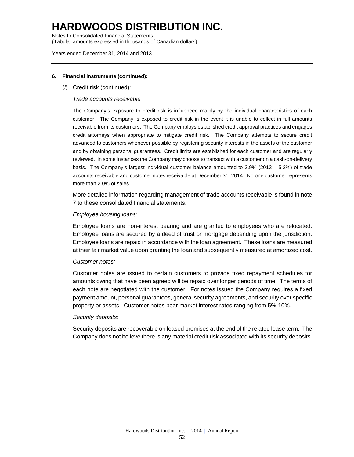Notes to Consolidated Financial Statements

(Tabular amounts expressed in thousands of Canadian dollars)

#### Years ended December 31, 2014 and 2013

#### **6. Financial instruments (continued):**

(*i*) Credit risk (continued):

#### *Trade accounts receivable*

The Company's exposure to credit risk is influenced mainly by the individual characteristics of each customer. The Company is exposed to credit risk in the event it is unable to collect in full amounts receivable from its customers. The Company employs established credit approval practices and engages credit attorneys when appropriate to mitigate credit risk. The Company attempts to secure credit advanced to customers whenever possible by registering security interests in the assets of the customer and by obtaining personal guarantees. Credit limits are established for each customer and are regularly reviewed. In some instances the Company may choose to transact with a customer on a cash-on-delivery basis. The Company's largest individual customer balance amounted to  $3.9\%$  (2013 –  $5.3\%$ ) of trade accounts receivable and customer notes receivable at December 31, 2014. No one customer represents more than 2.0% of sales.

More detailed information regarding management of trade accounts receivable is found in note 7 to these consolidated financial statements.

#### *Employee housing loans:*

Employee loans are non-interest bearing and are granted to employees who are relocated. Employee loans are secured by a deed of trust or mortgage depending upon the jurisdiction. Employee loans are repaid in accordance with the loan agreement. These loans are measured at their fair market value upon granting the loan and subsequently measured at amortized cost.

#### *Customer notes:*

Customer notes are issued to certain customers to provide fixed repayment schedules for amounts owing that have been agreed will be repaid over longer periods of time. The terms of each note are negotiated with the customer. For notes issued the Company requires a fixed payment amount, personal guarantees, general security agreements, and security over specific property or assets. Customer notes bear market interest rates ranging from 5%-10%.

#### *Security deposits:*

Security deposits are recoverable on leased premises at the end of the related lease term. The Company does not believe there is any material credit risk associated with its security deposits.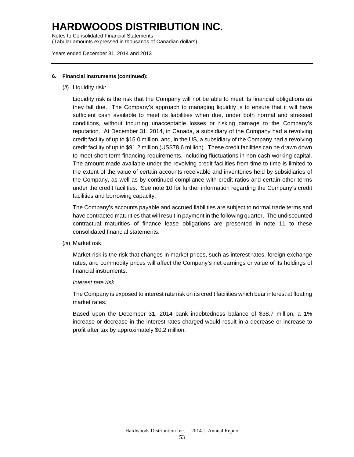Notes to Consolidated Financial Statements

(Tabular amounts expressed in thousands of Canadian dollars)

Years ended December 31, 2014 and 2013

#### **6. Financial instruments (continued):**

(*ii*) Liquidity risk:

Liquidity risk is the risk that the Company will not be able to meet its financial obligations as they fall due. The Company's approach to managing liquidity is to ensure that it will have sufficient cash available to meet its liabilities when due, under both normal and stressed conditions, without incurring unacceptable losses or risking damage to the Company's reputation. At December 31, 2014, in Canada, a subsidiary of the Company had a revolving credit facility of up to \$15.0 million, and, in the US, a subsidiary of the Company had a revolving credit facility of up to \$91.2 million (US\$78.6 million). These credit facilities can be drawn down to meet short-term financing requirements, including fluctuations in non-cash working capital. The amount made available under the revolving credit facilities from time to time is limited to the extent of the value of certain accounts receivable and inventories held by subsidiaries of the Company, as well as by continued compliance with credit ratios and certain other terms under the credit facilities. See note 10 for further information regarding the Company's credit facilities and borrowing capacity.

The Company's accounts payable and accrued liabilities are subject to normal trade terms and have contracted maturities that will result in payment in the following quarter. The undiscounted contractual maturities of finance lease obligations are presented in note 11 to these consolidated financial statements.

(*iii*) Market risk:

Market risk is the risk that changes in market prices, such as interest rates, foreign exchange rates, and commodity prices will affect the Company's net earnings or value of its holdings of financial instruments.

#### *Interest rate risk*

The Company is exposed to interest rate risk on its credit facilities which bear interest at floating market rates.

Based upon the December 31, 2014 bank indebtedness balance of \$38.7 million, a 1% increase or decrease in the interest rates charged would result in a decrease or increase to profit after tax by approximately \$0.2 million.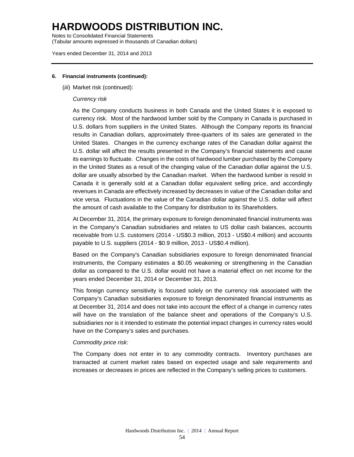Notes to Consolidated Financial Statements

(Tabular amounts expressed in thousands of Canadian dollars)

#### Years ended December 31, 2014 and 2013

#### **6. Financial instruments (continued):**

(*iii*) Market risk (continued):

#### *Currency risk*

As the Company conducts business in both Canada and the United States it is exposed to currency risk. Most of the hardwood lumber sold by the Company in Canada is purchased in U.S. dollars from suppliers in the United States. Although the Company reports its financial results in Canadian dollars, approximately three-quarters of its sales are generated in the United States. Changes in the currency exchange rates of the Canadian dollar against the U.S. dollar will affect the results presented in the Company's financial statements and cause its earnings to fluctuate. Changes in the costs of hardwood lumber purchased by the Company in the United States as a result of the changing value of the Canadian dollar against the U.S. dollar are usually absorbed by the Canadian market. When the hardwood lumber is resold in Canada it is generally sold at a Canadian dollar equivalent selling price, and accordingly revenues in Canada are effectively increased by decreases in value of the Canadian dollar and vice versa. Fluctuations in the value of the Canadian dollar against the U.S. dollar will affect the amount of cash available to the Company for distribution to its Shareholders.

At December 31, 2014, the primary exposure to foreign denominated financial instruments was in the Company's Canadian subsidiaries and relates to US dollar cash balances, accounts receivable from U.S. customers (2014 - US\$0.3 million, 2013 - US\$0.4 million) and accounts payable to U.S. suppliers (2014 - \$0.9 million, 2013 - US\$0.4 million).

Based on the Company's Canadian subsidiaries exposure to foreign denominated financial instruments, the Company estimates a \$0.05 weakening or strengthening in the Canadian dollar as compared to the U.S. dollar would not have a material effect on net income for the years ended December 31, 2014 or December 31, 2013.

This foreign currency sensitivity is focused solely on the currency risk associated with the Company's Canadian subsidiaries exposure to foreign denominated financial instruments as at December 31, 2014 and does not take into account the effect of a change in currency rates will have on the translation of the balance sheet and operations of the Company's U.S. subsidiaries nor is it intended to estimate the potential impact changes in currency rates would have on the Company's sales and purchases.

#### *Commodity price risk:*

The Company does not enter in to any commodity contracts. Inventory purchases are transacted at current market rates based on expected usage and sale requirements and increases or decreases in prices are reflected in the Company's selling prices to customers.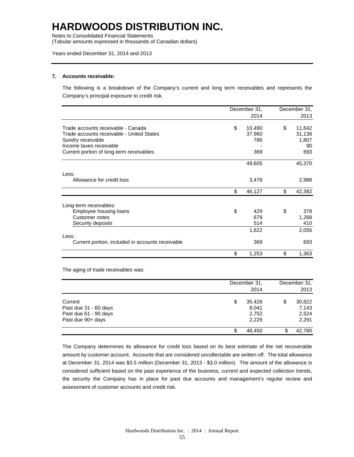Notes to Consolidated Financial Statements

(Tabular amounts expressed in thousands of Canadian dollars)

#### Years ended December 31, 2014 and 2013

#### **7. Accounts receivable:**

The following is a breakdown of the Company's current and long term receivables and represents the Company's principal exposure to credit risk.

|                                                  | December 31. |        | December 31, |        |
|--------------------------------------------------|--------------|--------|--------------|--------|
|                                                  |              | 2014   |              | 2013   |
| Trade accounts receivable - Canada               | \$           | 10,490 | \$           | 11,642 |
| Trade accounts receivable - United States        |              | 37,960 |              | 31,138 |
| Sundry receivable                                |              | 786    |              | 1,807  |
| Income taxes receivable                          |              |        |              | 90     |
| Current portion of long-term receivables         |              | 369    |              | 693    |
|                                                  |              | 49,605 |              | 45,370 |
| Less:                                            |              |        |              |        |
| Allowance for credit loss                        |              | 3,478  |              | 2,988  |
|                                                  | \$           | 46,127 | \$           | 42,382 |
| Long-term receivables:                           |              |        |              |        |
| Employee housing loans                           | \$           | 429    | \$           | 378    |
| Customer notes                                   |              | 679    |              | 1,268  |
| Security deposits                                |              | 514    |              | 410    |
|                                                  |              | 1,622  |              | 2,056  |
| Less:                                            |              |        |              |        |
| Current portion, included in accounts receivable |              | 369    |              | 693    |
|                                                  | \$           | 1,253  | \$           | 1,363  |

The aging of trade receivables was:

|                                                                                | December 31,<br>2014                    | December 31.<br>2013 |                                   |  |
|--------------------------------------------------------------------------------|-----------------------------------------|----------------------|-----------------------------------|--|
| Current<br>Past due 31 - 60 days<br>Past due 61 - 90 days<br>Past due 90+ days | \$<br>35.428<br>8,041<br>2,752<br>2,229 | \$                   | 30,822<br>7,143<br>2,524<br>2,291 |  |
|                                                                                | 48,450                                  |                      | 42,780                            |  |

The Company determines its allowance for credit loss based on its best estimate of the net recoverable amount by customer account. Accounts that are considered uncollectable are written off. The total allowance at December 31, 2014 was \$3.5 million (December 31, 2013 - \$3.0 million). The amount of the allowance is considered sufficient based on the past experience of the business, current and expected collection trends, the security the Company has in place for past due accounts and management's regular review and assessment of customer accounts and credit risk.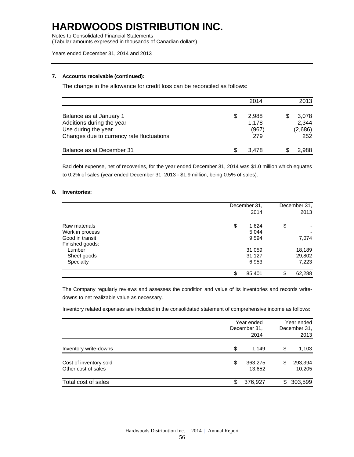Notes to Consolidated Financial Statements

(Tabular amounts expressed in thousands of Canadian dollars)

#### Years ended December 31, 2014 and 2013

#### **7. Accounts receivable (continued):**

The change in the allowance for credit loss can be reconciled as follows:

|                                                                                                                          | 2014                           | 2013                             |
|--------------------------------------------------------------------------------------------------------------------------|--------------------------------|----------------------------------|
| Balance as at January 1<br>Additions during the year<br>Use during the year<br>Changes due to currency rate fluctuations | 2.988<br>1.178<br>(967)<br>279 | 3,078<br>2,344<br>(2,686)<br>252 |
| Balance as at December 31                                                                                                | 3.478                          | 2.988                            |

Bad debt expense, net of recoveries, for the year ended December 31, 2014 was \$1.0 million which equates to 0.2% of sales (year ended December 31, 2013 - \$1.9 million, being 0.5% of sales).

#### **8. Inventories:**

|                 | December 31. | December 31. |
|-----------------|--------------|--------------|
|                 | 2014         | 2013         |
| Raw materials   | \$<br>1,624  | \$           |
| Work in process | 5,044        |              |
| Good in transit | 9,594        | 7,074        |
| Finished goods: |              |              |
| Lumber          | 31,059       | 18,189       |
| Sheet goods     | 31,127       | 29,802       |
| Specialty       | 6,953        | 7,223        |
|                 | 85,401<br>\$ | \$<br>62,288 |

The Company regularly reviews and assesses the condition and value of its inventories and records writedowns to net realizable value as necessary.

Inventory related expenses are included in the consolidated statement of comprehensive income as follows:

|                                               |    | Year ended<br>December 31,<br>2014 |    | Year ended<br>December 31.<br>2013 |  |
|-----------------------------------------------|----|------------------------------------|----|------------------------------------|--|
| Inventory write-downs                         | \$ | 1.149                              | \$ | 1,103                              |  |
| Cost of inventory sold<br>Other cost of sales | \$ | 363,275<br>13,652                  | \$ | 293,394<br>10,205                  |  |
| Total cost of sales                           | S. | 376,927                            | S  | 303,599                            |  |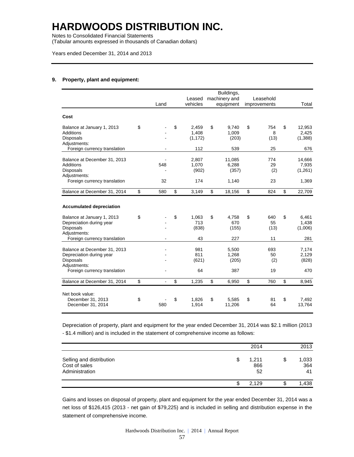Notes to Consolidated Financial Statements

(Tabular amounts expressed in thousands of Canadian dollars)

Years ended December 31, 2014 and 2013

#### **9. Property, plant and equipment:**

|                                                                                                                               | Land      | Leased<br>vehicles               | Buildings,<br>machinery and<br>equipment | Leasehold<br>improvements | Total                               |
|-------------------------------------------------------------------------------------------------------------------------------|-----------|----------------------------------|------------------------------------------|---------------------------|-------------------------------------|
| Cost                                                                                                                          |           |                                  |                                          |                           |                                     |
| Balance at January 1, 2013<br>Additions<br><b>Disposals</b><br>Adjustments:                                                   | \$        | \$<br>2.459<br>1,408<br>(1, 172) | \$<br>9.740<br>1,009<br>(203)            | \$<br>754<br>8<br>(13)    | \$<br>12,953<br>2,425<br>(1,388)    |
| Foreign currency translation                                                                                                  |           | 112                              | 539                                      | 25                        | 676                                 |
| Balance at December 31, 2013<br>Additions<br><b>Disposals</b><br>Adjustments:<br>Foreign currency translation                 | 548<br>32 | 2,807<br>1,070<br>(902)<br>174   | 11,085<br>6,288<br>(357)<br>1,140        | 774<br>29<br>(2)<br>23    | 14,666<br>7,935<br>(1,261)<br>1,369 |
| Balance at December 31, 2014                                                                                                  | \$<br>580 | \$<br>3,149                      | \$<br>18,156                             | \$<br>824                 | \$<br>22,709                        |
| <b>Accumulated depreciation</b><br>Balance at January 1, 2013<br>Depreciation during year<br><b>Disposals</b><br>Adjustments: | \$        | \$<br>1.063<br>713<br>(838)      | \$<br>4.758<br>670<br>(155)              | \$<br>640<br>55<br>(13)   | \$<br>6.461<br>1,438<br>(1,006)     |
| Foreign currency translation                                                                                                  |           | 43                               | 227                                      | 11                        | 281                                 |
| Balance at December 31, 2013<br>Depreciation during year<br><b>Disposals</b><br>Adjustments:                                  |           | 981<br>811<br>(621)              | 5,500<br>1,268<br>(205)                  | 693<br>50<br>(2)          | 7,174<br>2,129<br>(828)             |
| Foreign currency translation                                                                                                  |           | 64                               | 387                                      | 19                        | 470                                 |
| Balance at December 31, 2014                                                                                                  | \$        | \$<br>1,235                      | \$<br>6,950                              | \$<br>760                 | \$<br>8,945                         |
| Net book value:<br>December 31, 2013<br>December 31, 2014                                                                     | \$<br>580 | \$<br>1.826<br>1,914             | \$<br>5,585<br>11,206                    | \$<br>81<br>64            | \$<br>7.492<br>13,764               |

Depreciation of property, plant and equipment for the year ended December 31, 2014 was \$2.1 million (2013 - \$1.4 million) and is included in the statement of comprehensive income as follows:

|                                                             | 2014                     | 2013                     |
|-------------------------------------------------------------|--------------------------|--------------------------|
| Selling and distribution<br>Cost of sales<br>Administration | \$<br>1,211<br>866<br>52 | \$<br>1,033<br>364<br>41 |
|                                                             | \$<br>2.129              | \$<br>1,438              |

Gains and losses on disposal of property, plant and equipment for the year ended December 31, 2014 was a net loss of \$126,415 (2013 - net gain of \$79,225) and is included in selling and distribution expense in the statement of comprehensive income.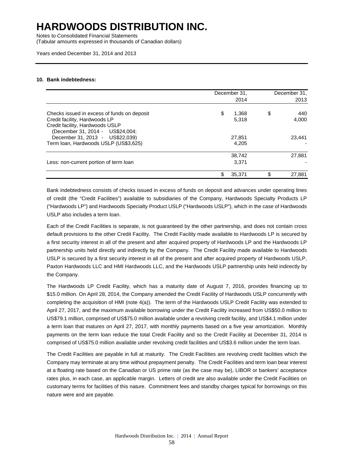Notes to Consolidated Financial Statements

(Tabular amounts expressed in thousands of Canadian dollars)

Years ended December 31, 2014 and 2013

#### **10. Bank indebtedness:**

|                                                                                                                                                                                        | December 31,<br>2014           |     | December 31,<br>2013   |
|----------------------------------------------------------------------------------------------------------------------------------------------------------------------------------------|--------------------------------|-----|------------------------|
| Checks issued in excess of funds on deposit<br>Credit facility, Hardwoods LP<br>Credit facility, Hardwoods USLP<br>(December 31, 2014 - US\$24,004;<br>December 31, 2013 - US\$22,039) | \$<br>1,368<br>5.318<br>27,851 | \$  | 440<br>4.000<br>23.441 |
| Term Ioan, Hardwoods USLP (US\$3,625)                                                                                                                                                  | 4.205                          |     |                        |
| Less: non-current portion of term loan                                                                                                                                                 | 38,742<br>3,371                |     | 27,881                 |
|                                                                                                                                                                                        | \$<br>35,371                   | \$. | 27,881                 |

Bank indebtedness consists of checks issued in excess of funds on deposit and advances under operating lines of credit (the "Credit Facilities") available to subsidiaries of the Company, Hardwoods Specialty Products LP ("Hardwoods LP") and Hardwoods Specialty Product USLP ("Hardwoods USLP"), which in the case of Hardwoods USLP also includes a term loan.

Each of the Credit Facilities is separate, is not guaranteed by the other partnership, and does not contain cross default provisions to the other Credit Facility. The Credit Facility made available to Hardwoods LP is secured by a first security interest in all of the present and after acquired property of Hardwoods LP and the Hardwoods LP partnership units held directly and indirectly by the Company. The Credit Facility made available to Hardwoods USLP is secured by a first security interest in all of the present and after acquired property of Hardwoods USLP, Paxton Hardwoods LLC and HMI Hardwoods LLC, and the Hardwoods USLP partnership units held indirectly by the Company.

The Hardwoods LP Credit Facility, which has a maturity date of August 7, 2016, provides financing up to \$15.0 million. On April 28, 2014, the Company amended the Credit Facility of Hardwoods USLP concurrently with completing the acquisition of HMI (note 4(a)). The term of the Hardwoods USLP Credit Facility was extended to April 27, 2017, and the maximum available borrowing under the Credit Facility increased from US\$50.0 million to US\$79.1 million, comprised of US\$75.0 million available under a revolving credit facility, and US\$4.1 million under a term loan that matures on April 27, 2017, with monthly payments based on a five year amortization. Monthly payments on the term loan reduce the total Credit Facility and so the Credit Facility at December 31, 2014 is comprised of US\$75.0 million available under revolving credit facilities and US\$3.6 million under the term loan.

The Credit Facilities are payable in full at maturity. The Credit Facilities are revolving credit facilities which the Company may terminate at any time without prepayment penalty. The Credit Facilities and term loan bear interest at a floating rate based on the Canadian or US prime rate (as the case may be), LIBOR or bankers' acceptance rates plus, in each case, an applicable margin. Letters of credit are also available under the Credit Facilities on customary terms for facilities of this nature. Commitment fees and standby charges typical for borrowings on this nature were and are payable.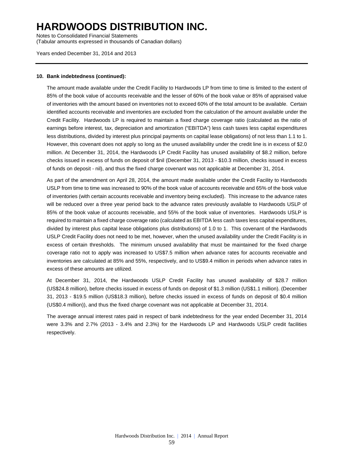Notes to Consolidated Financial Statements (Tabular amounts expressed in thousands of Canadian dollars)

Years ended December 31, 2014 and 2013

#### **10. Bank indebtedness (continued):**

The amount made available under the Credit Facility to Hardwoods LP from time to time is limited to the extent of 85% of the book value of accounts receivable and the lesser of 60% of the book value or 85% of appraised value of inventories with the amount based on inventories not to exceed 60% of the total amount to be available. Certain identified accounts receivable and inventories are excluded from the calculation of the amount available under the Credit Facility. Hardwoods LP is required to maintain a fixed charge coverage ratio (calculated as the ratio of earnings before interest, tax, depreciation and amortization ("EBITDA") less cash taxes less capital expenditures less distributions, divided by interest plus principal payments on capital lease obligations) of not less than 1.1 to 1. However, this covenant does not apply so long as the unused availability under the credit line is in excess of \$2.0 million. At December 31, 2014, the Hardwoods LP Credit Facility has unused availability of \$8.2 million, before checks issued in excess of funds on deposit of \$nil (December 31, 2013 - \$10.3 million, checks issued in excess of funds on deposit - nil), and thus the fixed charge covenant was not applicable at December 31, 2014.

As part of the amendment on April 28, 2014, the amount made available under the Credit Facility to Hardwoods USLP from time to time was increased to 90% of the book value of accounts receivable and 65% of the book value of inventories (with certain accounts receivable and inventory being excluded). This increase to the advance rates will be reduced over a three year period back to the advance rates previously available to Hardwoods USLP of 85% of the book value of accounts receivable, and 55% of the book value of inventories. Hardwoods USLP is required to maintain a fixed charge coverage ratio (calculated as EBITDA less cash taxes less capital expenditures, divided by interest plus capital lease obligations plus distributions) of 1.0 to 1. This covenant of the Hardwoods USLP Credit Facility does not need to be met, however, when the unused availability under the Credit Facility is in excess of certain thresholds. The minimum unused availability that must be maintained for the fixed charge coverage ratio not to apply was increased to US\$7.5 million when advance rates for accounts receivable and inventories are calculated at 85% and 55%, respectively, and to US\$9.4 million in periods when advance rates in excess of these amounts are utilized.

At December 31, 2014, the Hardwoods USLP Credit Facility has unused availability of \$28.7 million (US\$24.8 million), before checks issued in excess of funds on deposit of \$1.3 million (US\$1.1 million). (December 31, 2013 - \$19.5 million (US\$18.3 million), before checks issued in excess of funds on deposit of \$0.4 million (US\$0.4 million)), and thus the fixed charge covenant was not applicable at December 31, 2014.

The average annual interest rates paid in respect of bank indebtedness for the year ended December 31, 2014 were 3.3% and 2.7% (2013 - 3.4% and 2.3%) for the Hardwoods LP and Hardwoods USLP credit facilities respectively.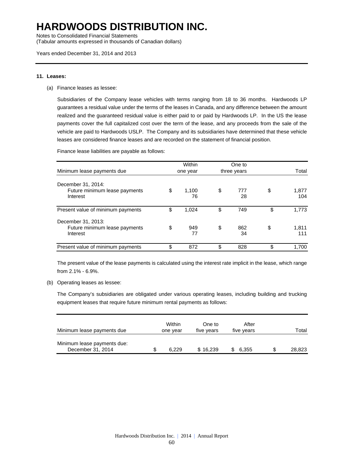Notes to Consolidated Financial Statements

(Tabular amounts expressed in thousands of Canadian dollars)

#### **11. Leases:**

(a) Finance leases as lessee:

Subsidiaries of the Company lease vehicles with terms ranging from 18 to 36 months. Hardwoods LP guarantees a residual value under the terms of the leases in Canada, and any difference between the amount realized and the guaranteed residual value is either paid to or paid by Hardwoods LP. In the US the lease payments cover the full capitalized cost over the term of the lease, and any proceeds from the sale of the vehicle are paid to Hardwoods USLP. The Company and its subsidiaries have determined that these vehicle leases are considered finance leases and are recorded on the statement of financial position.

Finance lease liabilities are payable as follows:

|                                                                 | Within            |    | One to      |                    |
|-----------------------------------------------------------------|-------------------|----|-------------|--------------------|
| Minimum lease payments due                                      | one year          |    | three years | Total              |
| December 31, 2014:<br>Future minimum lease payments<br>Interest | \$<br>1,100<br>76 | \$ | 777<br>28   | \$<br>1,877<br>104 |
| Present value of minimum payments                               | \$<br>1.024       | \$ | 749         | \$<br>1.773        |
| December 31, 2013:<br>Future minimum lease payments<br>Interest | \$<br>949<br>77   | \$ | 862<br>34   | \$<br>1,811<br>111 |
| Present value of minimum payments                               | \$<br>872         | \$ | 828         | \$<br>1,700        |

The present value of the lease payments is calculated using the interest rate implicit in the lease, which range from 2.1% - 6.9%.

(b) Operating leases as lessee:

The Company's subsidiaries are obligated under various operating leases, including building and trucking equipment leases that require future minimum rental payments as follows:

| Minimum lease payments due                       | Within<br>one year | One to<br>five years | After<br>five years | Total  |
|--------------------------------------------------|--------------------|----------------------|---------------------|--------|
| Minimum lease payments due:<br>December 31, 2014 | \$<br>6.229        | \$16,239             | 6.355               | 28,823 |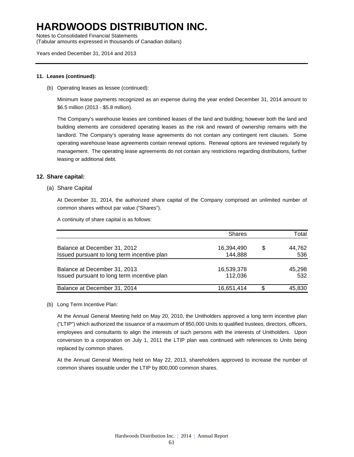Notes to Consolidated Financial Statements (Tabular amounts expressed in thousands of Canadian dollars)

Years ended December 31, 2014 and 2013

#### **11. Leases (continued):**

(b) Operating leases as lessee (continued):

Minimum lease payments recognized as an expense during the year ended December 31, 2014 amount to \$6.5 million (2013 - \$5.8 million).

The Company's warehouse leases are combined leases of the land and building; however both the land and building elements are considered operating leases as the risk and reward of ownership remains with the landlord. The Company's operating lease agreements do not contain any contingent rent clauses. Some operating warehouse lease agreements contain renewal options. Renewal options are reviewed regularly by management. The operating lease agreements do not contain any restrictions regarding distributions, further leasing or additional debt.

#### **12. Share capital:**

#### (a) Share Capital

At December 31, 2014, the authorized share capital of the Company comprised an unlimited number of common shares without par value ("Shares").

A continuity of share capital is as follows:

|                                             | <b>Shares</b> |    | Total  |
|---------------------------------------------|---------------|----|--------|
| Balance at December 31, 2012                | 16,394,490    | S  | 44.762 |
| Issued pursuant to long term incentive plan | 144,888       |    | 536    |
| Balance at December 31, 2013                | 16,539,378    |    | 45,298 |
| Issued pursuant to long term incentive plan | 112,036       |    | 532    |
| Balance at December 31, 2014                | 16,651,414    | £. | 45.830 |

#### (b) Long Term Incentive Plan:

At the Annual General Meeting held on May 20, 2010, the Unitholders approved a long term incentive plan ("LTIP") which authorized the issuance of a maximum of 850,000 Units to qualified trustees, directors, officers, employees and consultants to align the interests of such persons with the interests of Unitholders. Upon conversion to a corporation on July 1, 2011 the LTIP plan was continued with references to Units being replaced by common shares.

At the Annual General Meeting held on May 22, 2013, shareholders approved to increase the number of common shares issuable under the LTIP by 800,000 common shares.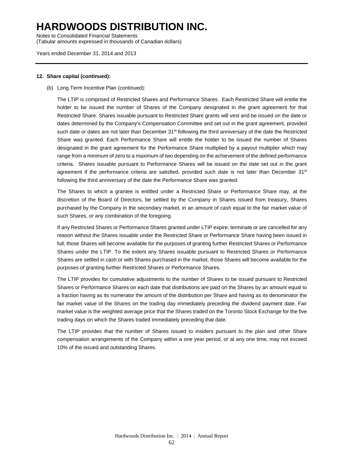Notes to Consolidated Financial Statements (Tabular amounts expressed in thousands of Canadian dollars)

Years ended December 31, 2014 and 2013

#### **12. Share capital (continued):**

(b) Long Term Incentive Plan (continued):

The LTIP is comprised of Restricted Shares and Performance Shares. Each Restricted Share will entitle the holder to be issued the number of Shares of the Company designated in the grant agreement for that Restricted Share. Shares issuable pursuant to Restricted Share grants will vest and be issued on the date or dates determined by the Company's Compensation Committee and set out in the grant agreement, provided such date or dates are not later than December 31<sup>st</sup> following the third anniversary of the date the Restricted Share was granted. Each Performance Share will entitle the holder to be issued the number of Shares designated in the grant agreement for the Performance Share multiplied by a payout multiplier which may range from a minimum of zero to a maximum of two depending on the achievement of the defined performance criteria. Shares issuable pursuant to Performance Shares will be issued on the date set out in the grant agreement if the performance criteria are satisfied, provided such date is not later than December  $31<sup>st</sup>$ following the third anniversary of the date the Performance Share was granted.

The Shares to which a grantee is entitled under a Restricted Share or Performance Share may, at the discretion of the Board of Directors, be settled by the Company in Shares issued from treasury, Shares purchased by the Company in the secondary market, in an amount of cash equal to the fair market value of such Shares, or any combination of the foregoing.

If any Restricted Shares or Performance Shares granted under LTIP expire, terminate or are cancelled for any reason without the Shares issuable under the Restricted Share or Performance Share having been issued in full, those Shares will become available for the purposes of granting further Restricted Shares or Performance Shares under the LTIP. To the extent any Shares issuable pursuant to Restricted Shares or Performance Shares are settled in cash or with Shares purchased in the market, those Shares will become available for the purposes of granting further Restricted Shares or Performance Shares.

The LTIP provides for cumulative adjustments to the number of Shares to be issued pursuant to Restricted Shares or Performance Shares on each date that distributions are paid on the Shares by an amount equal to a fraction having as its numerator the amount of the distribution per Share and having as its denominator the fair market value of the Shares on the trading day immediately preceding the dividend payment date. Fair market value is the weighted average price that the Shares traded on the Toronto Stock Exchange for the five trading days on which the Shares traded immediately preceding that date.

The LTIP provides that the number of Shares issued to insiders pursuant to the plan and other Share compensation arrangements of the Company within a one year period, or at any one time, may not exceed 10% of the issued and outstanding Shares.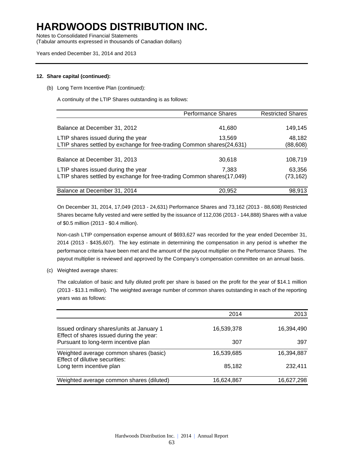Notes to Consolidated Financial Statements

(Tabular amounts expressed in thousands of Canadian dollars)

#### Years ended December 31, 2014 and 2013

#### **12. Share capital (continued):**

(b) Long Term Incentive Plan (continued):

A continuity of the LTIP Shares outstanding is as follows:

|                                                                        | <b>Performance Shares</b> | <b>Restricted Shares</b> |
|------------------------------------------------------------------------|---------------------------|--------------------------|
|                                                                        |                           |                          |
| Balance at December 31, 2012                                           | 41,680                    | 149,145                  |
| LTIP shares issued during the year                                     | 13.569                    | 48,182                   |
| LTIP shares settled by exchange for free-trading Common shares(24,631) |                           | (88, 608)                |
|                                                                        |                           |                          |
| Balance at December 31, 2013                                           | 30,618                    | 108,719                  |
| LTIP shares issued during the year                                     | 7.383                     | 63,356                   |
| LTIP shares settled by exchange for free-trading Common shares(17,049) | (73,162)                  |                          |
|                                                                        |                           |                          |
| Balance at December 31, 2014                                           | 20,952                    | 98,913                   |

On December 31, 2014, 17,049 (2013 - 24,631) Performance Shares and 73,162 (2013 - 88,608) Restricted Shares became fully vested and were settled by the issuance of 112,036 (2013 - 144,888) Shares with a value of \$0.5 million (2013 - \$0.4 million).

Non-cash LTIP compensation expense amount of \$693,627 was recorded for the year ended December 31, 2014 (2013 - \$435,607). The key estimate in determining the compensation in any period is whether the performance criteria have been met and the amount of the payout multiplier on the Performance Shares. The payout multiplier is reviewed and approved by the Company's compensation committee on an annual basis.

(c) Weighted average shares:

The calculation of basic and fully diluted profit per share is based on the profit for the year of \$14.1 million (2013 - \$13.1 million). The weighted average number of common shares outstanding in each of the reporting years was as follows:

|                                                                                       | 2014       | 2013       |
|---------------------------------------------------------------------------------------|------------|------------|
| Issued ordinary shares/units at January 1<br>Effect of shares issued during the year: | 16,539,378 | 16,394,490 |
| Pursuant to long-term incentive plan                                                  | 307        | 397        |
| Weighted average common shares (basic)<br>Effect of dilutive securities:              | 16,539,685 | 16,394,887 |
| Long term incentive plan                                                              | 85,182     | 232,411    |
| Weighted average common shares (diluted)                                              | 16,624,867 | 16,627,298 |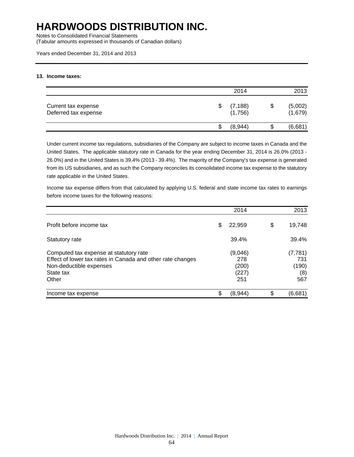Notes to Consolidated Financial Statements

(Tabular amounts expressed in thousands of Canadian dollars)

Years ended December 31, 2014 and 2013

#### **13. Income taxes:**

|                                             | 2014                |    | 2013               |
|---------------------------------------------|---------------------|----|--------------------|
| Current tax expense<br>Deferred tax expense | (7, 188)<br>(1,756) | \$ | (5,002)<br>(1,679) |
|                                             | (8,944)             | S  | (6,681)            |

Under current income tax regulations, subsidiaries of the Company are subject to income taxes in Canada and the United States. The applicable statutory rate in Canada for the year ending December 31, 2014 is 26.0% (2013 - 26.0%) and in the United States is 39.4% (2013 - 39.4%). The majority of the Company's tax expense is generated from its US subsidiaries, and as such the Company reconciles its consolidated income tax expense to the statutory rate applicable in the United States.

Income tax expense differs from that calculated by applying U.S. federal and state income tax rates to earnings before income taxes for the following reasons:

|                                                                                                                                                       | 2014                                    | 2013                                   |
|-------------------------------------------------------------------------------------------------------------------------------------------------------|-----------------------------------------|----------------------------------------|
| Profit before income tax                                                                                                                              | \$<br>22,959                            | \$<br>19,748                           |
| Statutory rate                                                                                                                                        | 39.4%                                   | 39.4%                                  |
| Computed tax expense at statutory rate<br>Effect of lower tax rates in Canada and other rate changes<br>Non-deductible expenses<br>State tax<br>Other | (9,046)<br>278<br>(200)<br>(227)<br>251 | (7, 781)<br>731<br>(190)<br>(8)<br>567 |
| Income tax expense                                                                                                                                    | \$<br>(8,944)                           | \$<br>(6,681)                          |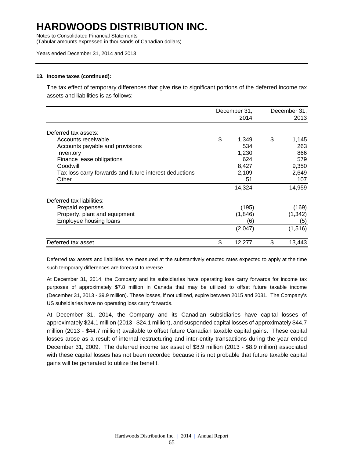Notes to Consolidated Financial Statements

(Tabular amounts expressed in thousands of Canadian dollars)

#### Years ended December 31, 2014 and 2013

#### **13. Income taxes (continued):**

The tax effect of temporary differences that give rise to significant portions of the deferred income tax assets and liabilities is as follows:

|                                                        | December 31, | December 31, |
|--------------------------------------------------------|--------------|--------------|
|                                                        | 2014         | 2013         |
| Deferred tax assets:                                   |              |              |
| Accounts receivable                                    | \$<br>1,349  | \$<br>1,145  |
| Accounts payable and provisions                        | 534          | 263          |
| Inventory                                              | 1,230        | 866          |
| Finance lease obligations                              | 624          | 579          |
| Goodwill                                               | 8,427        | 9,350        |
| Tax loss carry forwards and future interest deductions | 2,109        | 2,649        |
| Other                                                  | 51           | 107          |
|                                                        | 14,324       | 14,959       |
| Deferred tax liabilities:                              |              |              |
| Prepaid expenses                                       | (195)        | (169)        |
| Property, plant and equipment                          | (1,846)      | (1, 342)     |
| Employee housing loans                                 | (6)          | (5)          |
|                                                        | (2,047)      | (1,516)      |
| Deferred tax asset                                     | \$<br>12,277 | \$<br>13,443 |

Deferred tax assets and liabilities are measured at the substantively enacted rates expected to apply at the time such temporary differences are forecast to reverse.

At December 31, 2014, the Company and its subsidiaries have operating loss carry forwards for income tax purposes of approximately \$7.8 million in Canada that may be utilized to offset future taxable income (December 31, 2013 - \$9.9 million). These losses, if not utilized, expire between 2015 and 2031. The Company's US subsidiaries have no operating loss carry forwards.

At December 31, 2014, the Company and its Canadian subsidiaries have capital losses of approximately \$24.1 million (2013 - \$24.1 million), and suspended capital losses of approximately \$44.7 million (2013 - \$44.7 million) available to offset future Canadian taxable capital gains. These capital losses arose as a result of internal restructuring and inter-entity transactions during the year ended December 31, 2009. The deferred income tax asset of \$8.9 million (2013 - \$8.9 million) associated with these capital losses has not been recorded because it is not probable that future taxable capital gains will be generated to utilize the benefit.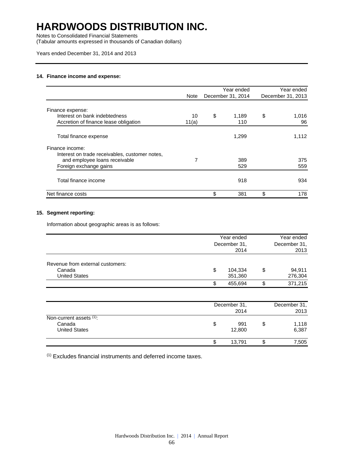Notes to Consolidated Financial Statements

(Tabular amounts expressed in thousands of Canadian dollars)

#### Years ended December 31, 2014 and 2013

#### **14. Finance income and expense:**

|                                                |       | Year ended        | Year ended        |
|------------------------------------------------|-------|-------------------|-------------------|
|                                                | Note  | December 31, 2014 | December 31, 2013 |
| Finance expense:                               |       |                   |                   |
| Interest on bank indebtedness                  | 10    | \$<br>1.189       | \$<br>1,016       |
| Accretion of finance lease obligation          | 11(a) | 110               | 96                |
| Total finance expense                          |       | 1,299             | 1,112             |
| Finance income:                                |       |                   |                   |
| Interest on trade receivables, customer notes, |       |                   |                   |
| and employee loans receivable                  | 7     | 389               | 375               |
| Foreign exchange gains                         |       | 529               | 559               |
| Total finance income                           |       | 918               | 934               |
| Net finance costs                              |       | \$<br>381         | \$<br>178         |

#### **15. Segment reporting:**

Information about geographic areas is as follows:

|                                                                    | Year ended<br>December 31,<br>2014 |                    | Year ended<br>December 31,<br>2013 |
|--------------------------------------------------------------------|------------------------------------|--------------------|------------------------------------|
| Revenue from external customers:<br>Canada<br><b>United States</b> | \$                                 | 104,334<br>351,360 | \$<br>94,911<br>276,304            |
|                                                                    | \$                                 | 455,694            | \$<br>371,215                      |
|                                                                    |                                    |                    |                                    |

|                         | December 31, |    | December 31, |
|-------------------------|--------------|----|--------------|
|                         | 2014         |    | 2013         |
| Non-current assets (1): |              |    |              |
| Canada                  | 991<br>\$    | \$ | 1,118        |
| <b>United States</b>    | 12,800       |    | 6,387        |
|                         | 13.791<br>S  | ง  | 7,505        |

(1) Excludes financial instruments and deferred income taxes.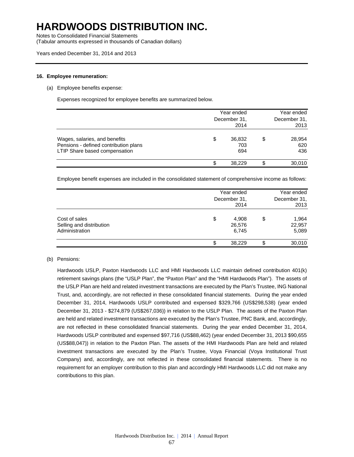Notes to Consolidated Financial Statements

(Tabular amounts expressed in thousands of Canadian dollars)

#### **16. Employee remuneration:**

#### (a) Employee benefits expense:

Expenses recognized for employee benefits are summarized below.

| Wages, salaries, and benefits<br>Pensions - defined contribution plans<br>LTIP Share based compensation | Year ended<br>December 31,<br>2014 |                      |   | Year ended<br>December 31.<br>2013 |  |
|---------------------------------------------------------------------------------------------------------|------------------------------------|----------------------|---|------------------------------------|--|
|                                                                                                         | S                                  | 36,832<br>703<br>694 | S | 28,954<br>620<br>436               |  |
|                                                                                                         |                                    | 38.229               |   | 30,010                             |  |

Employee benefit expenses are included in the consolidated statement of comprehensive income as follows:

| Cost of sales<br>Selling and distribution<br>Administration | Year ended<br>December 31,<br>2014 | Year ended<br>December 31.<br>2013 |  |
|-------------------------------------------------------------|------------------------------------|------------------------------------|--|
|                                                             | \$<br>4.908<br>26,576<br>6,745     | \$<br>1.964<br>22,957<br>5,089     |  |
|                                                             | 38.229<br>\$                       | 30,010                             |  |

#### (b) Pensions:

Hardwoods USLP, Paxton Hardwoods LLC and HMI Hardwoods LLC maintain defined contribution 401(k) retirement savings plans (the "USLP Plan", the "Paxton Plan" and the "HMI Hardwoods Plan"). The assets of the USLP Plan are held and related investment transactions are executed by the Plan's Trustee, ING National Trust, and, accordingly, are not reflected in these consolidated financial statements. During the year ended December 31, 2014, Hardwoods USLP contributed and expensed \$329,766 (US\$298,538) (year ended December 31, 2013 - \$274,879 (US\$267,036)) in relation to the USLP Plan. The assets of the Paxton Plan are held and related investment transactions are executed by the Plan's Trustee, PNC Bank, and, accordingly, are not reflected in these consolidated financial statements. During the year ended December 31, 2014, Hardwoods USLP contributed and expensed \$97,716 (US\$88,462) (year ended December 31, 2013 \$90,655 (US\$88,047)) in relation to the Paxton Plan. The assets of the HMI Hardwoods Plan are held and related investment transactions are executed by the Plan's Trustee, Voya Financial (Voya Institutional Trust Company) and, accordingly, are not reflected in these consolidated financial statements. There is no requirement for an employer contribution to this plan and accordingly HMI Hardwoods LLC did not make any contributions to this plan.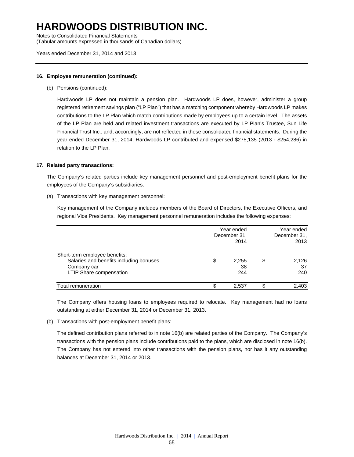Notes to Consolidated Financial Statements (Tabular amounts expressed in thousands of Canadian dollars)

Years ended December 31, 2014 and 2013

#### **16. Employee remuneration (continued):**

(b) Pensions (continued):

Hardwoods LP does not maintain a pension plan. Hardwoods LP does, however, administer a group registered retirement savings plan ("LP Plan") that has a matching component whereby Hardwoods LP makes contributions to the LP Plan which match contributions made by employees up to a certain level. The assets of the LP Plan are held and related investment transactions are executed by LP Plan's Trustee, Sun Life Financial Trust Inc., and, accordingly, are not reflected in these consolidated financial statements. During the year ended December 31, 2014, Hardwoods LP contributed and expensed \$275,135 (2013 - \$254,286) in relation to the LP Plan.

#### **17. Related party transactions:**

The Company's related parties include key management personnel and post-employment benefit plans for the employees of the Company's subsidiaries.

(a) Transactions with key management personnel:

Key management of the Company includes members of the Board of Directors, the Executive Officers, and regional Vice Presidents. Key management personnel remuneration includes the following expenses:

|                                                                                                                    | Year ended<br>December 31,<br>2014 | Year ended<br>December 31.<br>2013 |
|--------------------------------------------------------------------------------------------------------------------|------------------------------------|------------------------------------|
| Short-term employee benefits:<br>Salaries and benefits including bonuses<br>Company car<br>LTIP Share compensation | \$<br>2,255<br>38<br>244           | \$<br>2,126<br>37<br>240           |
| Total remuneration                                                                                                 | 2.537                              | 2,403                              |

The Company offers housing loans to employees required to relocate. Key management had no loans outstanding at either December 31, 2014 or December 31, 2013.

(b) Transactions with post-employment benefit plans:

The defined contribution plans referred to in note 16(b) are related parties of the Company. The Company's transactions with the pension plans include contributions paid to the plans, which are disclosed in note 16(b). The Company has not entered into other transactions with the pension plans, nor has it any outstanding balances at December 31, 2014 or 2013.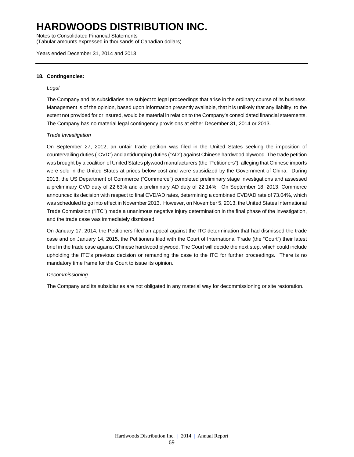Notes to Consolidated Financial Statements (Tabular amounts expressed in thousands of Canadian dollars)

Years ended December 31, 2014 and 2013

#### **18. Contingencies:**

#### *Legal*

The Company and its subsidiaries are subject to legal proceedings that arise in the ordinary course of its business. Management is of the opinion, based upon information presently available, that it is unlikely that any liability, to the extent not provided for or insured, would be material in relation to the Company's consolidated financial statements. The Company has no material legal contingency provisions at either December 31, 2014 or 2013.

#### *Trade Investigation*

On September 27, 2012, an unfair trade petition was filed in the United States seeking the imposition of countervailing duties ("CVD") and antidumping duties ("AD") against Chinese hardwood plywood. The trade petition was brought by a coalition of United States plywood manufacturers (the "Petitioners"), alleging that Chinese imports were sold in the United States at prices below cost and were subsidized by the Government of China. During 2013, the US Department of Commerce ("Commerce") completed preliminary stage investigations and assessed a preliminary CVD duty of 22.63% and a preliminary AD duty of 22.14%. On September 18, 2013, Commerce announced its decision with respect to final CVD/AD rates, determining a combined CVD/AD rate of 73.04%, which was scheduled to go into effect in November 2013. However, on November 5, 2013, the United States International Trade Commission ("ITC") made a unanimous negative injury determination in the final phase of the investigation, and the trade case was immediately dismissed.

On January 17, 2014, the Petitioners filed an appeal against the ITC determination that had dismissed the trade case and on January 14, 2015, the Petitioners filed with the Court of International Trade (the "Court") their latest brief in the trade case against Chinese hardwood plywood. The Court will decide the next step, which could include upholding the ITC's previous decision or remanding the case to the ITC for further proceedings. There is no mandatory time frame for the Court to issue its opinion.

#### *Decommissioning*

The Company and its subsidiaries are not obligated in any material way for decommissioning or site restoration.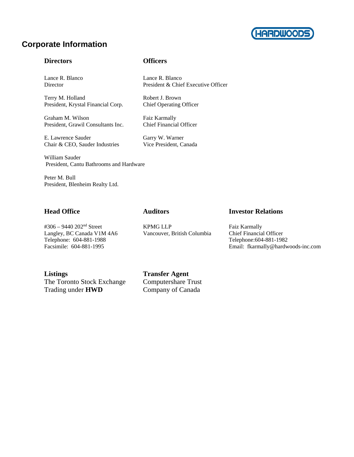

### **Corporate Information**

#### **Directors Officers**

Lance R. Blanco Lance R. Blanco

Terry M. Holland Robert J. Brown<br>President, Krystal Financial Corp. Chief Operating Officer President, Krystal Financial Corp.

Graham M. Wilson Faiz Karmally<br>President, Grawil Consultants Inc. Chief Financial Officer President, Grawil Consultants Inc.

E. Lawrence Sauder Garry W. Warner Chair & CEO, Sauder Industries Vice President, Canada

William Sauder

President, Cantu Bathrooms and Hardware

Peter M. Bull President, Blenheim Realty Ltd.

### **Head Office Auditors Investor Relations**

#306 – 9440 202nd Street KPMG LLP Faiz Karmally Langley, BC Canada V1M 4A6 Vancouver, British Columbia Chief Financial Officer

Telephone: 604-881-1988 Telephone: 604-881-1982 Facsimile: 604-881-1995 Email: fkarmally@hardwoods-inc.com

The Toronto Stock Exchange Computershare Trust Trading under **HWD** Company of Canada

**Listings Transfer Agent** 

Director President & Chief Executive Officer